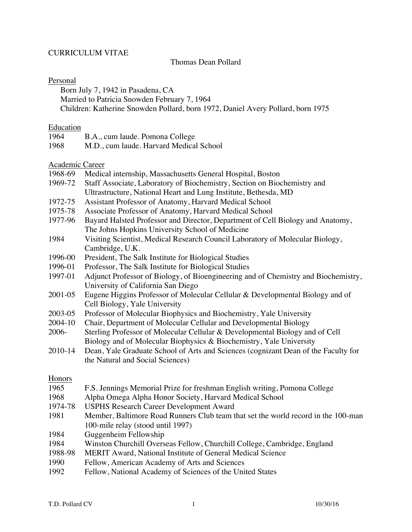# CURRICULUM VITAE

## Thomas Dean Pollard

## Personal

Born July 7, 1942 in Pasadena, CA

Married to Patricia Snowden February 7, 1964

Children: Katherine Snowden Pollard, born 1972, Daniel Avery Pollard, born 1975

## **Education**

| 1964 | B.A., cum laude. Pomona College         |
|------|-----------------------------------------|
| 1968 | M.D., cum laude. Harvard Medical School |

Academic Career

| 1968-69 | Medical internship, Massachusetts General Hospital, Boston                         |
|---------|------------------------------------------------------------------------------------|
| 1969-72 | Staff Associate, Laboratory of Biochemistry, Section on Biochemistry and           |
|         | Ultrastructure, National Heart and Lung Institute, Bethesda, MD                    |
| 1972-75 | Assistant Professor of Anatomy, Harvard Medical School                             |
| 1975-78 | Associate Professor of Anatomy, Harvard Medical School                             |
| 1977-96 | Bayard Halsted Professor and Director, Department of Cell Biology and Anatomy,     |
|         | The Johns Hopkins University School of Medicine                                    |
| 1984    | Visiting Scientist, Medical Research Council Laboratory of Molecular Biology,      |
|         | Cambridge, U.K.                                                                    |
| 1996-00 | President, The Salk Institute for Biological Studies                               |
| 1996-01 | Professor, The Salk Institute for Biological Studies                               |
| 1997-01 | Adjunct Professor of Biology, of Bioengineering and of Chemistry and Biochemistry, |
|         | University of California San Diego                                                 |
| 2001-05 | Eugene Higgins Professor of Molecular Cellular & Developmental Biology and of      |
|         | Cell Biology, Yale University                                                      |
| 2003-05 | Professor of Molecular Biophysics and Biochemistry, Yale University                |
| 2004-10 | Chair, Department of Molecular Cellular and Developmental Biology                  |
| 2006-   | Sterling Professor of Molecular Cellular & Developmental Biology and of Cell       |
|         | Biology and of Molecular Biophysics & Biochemistry, Yale University                |
| 2010-14 | Dean, Yale Graduate School of Arts and Sciences (cognizant Dean of the Faculty for |
|         | the Natural and Social Sciences)                                                   |
|         |                                                                                    |
| Honors  |                                                                                    |
| 1965    | F.S. Jennings Memorial Prize for freshman English writing, Pomona College          |
| 1968    | Alpha Omega Alpha Honor Society, Harvard Medical School                            |
| 1974-78 | <b>USPHS Research Career Development Award</b>                                     |
| 1981    | Member, Baltimore Road Runners Club team that set the world record in the 100-man  |
|         | 100-mile relay (stood until 1997)                                                  |
| 1984    | Guggenheim Fellowship                                                              |
| 1984    | Winston Churchill Overseas Fellow, Churchill College, Cambridge, England           |
| 1988-98 | MERIT Award, National Institute of General Medical Science                         |
| 1990    | Fellow, American Academy of Arts and Sciences                                      |

1992 Fellow, National Academy of Sciences of the United States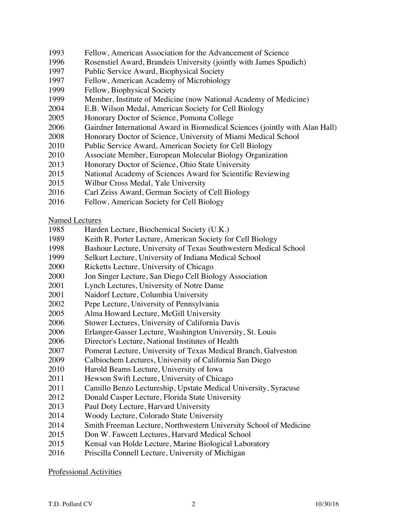- Fellow, American Association for the Advancement of Science
- Rosenstiel Award, Brandeis University (jointly with James Spudich)
- Public Service Award, Biophysical Society
- Fellow, American Academy of Microbiology
- Fellow, Biophysical Society
- Member, Institute of Medicine (now National Academy of Medicine)
- E.B. Wilson Medal, American Society for Cell Biology
- Honorary Doctor of Science, Pomona College
- Gairdner International Award in Biomedical Sciences (jointly with Alan Hall)
- Honorary Doctor of Science, University of Miami Medical School
- Public Service Award, American Society for Cell Biology
- Associate Member, European Molecular Biology Organization
- Honorary Doctor of Science, Ohio State University
- National Academy of Sciences Award for Scientific Reviewing
- Wilbur Cross Medal, Yale University
- Carl Zeiss Award, German Society of Cell Biology
- Fellow, American Society for Cell Biology

Named Lectures

- Harden Lecture, Biochemical Society (U.K.)
- Keith R. Porter Lecture, American Society for Cell Biology
- Bashour Lecture, University of Texas Southwestern Medical School
- Selkurt Lecture, University of Indiana Medical School
- Ricketts Lecture, University of Chicago
- Jon Singer Lecture, San Diego Cell Biology Association
- Lynch Lectures, University of Notre Dame
- Naidorf Lecture, Columbia University
- Pepe Lecture, University of Pennsylvania
- Alma Howard Lecture, McGill University
- Stower Lectures, University of California Davis
- Erlanger-Gasser Lecture, Washington University, St. Louis
- Director's Lecture, National Institutes of Health
- Pomerat Lecture, University of Texas Medical Branch, Galveston
- Calbiochem Lectures, University of California San Diego
- Harold Beams Lecture, University of Iowa
- Hewson Swift Lecture, University of Chicago
- Camillo Benzo Lectureship, Upstate Medical University, Syracuse
- Donald Casper Lecture, Florida State University
- Paul Doty Lecture, Harvard University
- Woody Lecture, Colorado State University
- Smith Freeman Lecture, Northwestern University School of Medicine
- Don W. Fawcett Lectures, Harvard Medical School
- Kensal van Holde Lecture, Marine Biological Laboratory
- Priscilla Connell Lecture, University of Michigan

Professional Activities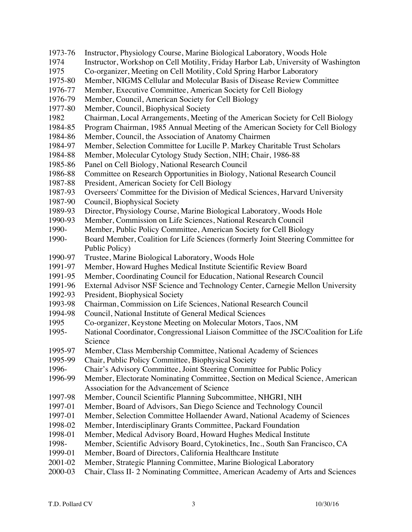- 1973-76 Instructor, Physiology Course, Marine Biological Laboratory, Woods Hole
- 1974 Instructor, Workshop on Cell Motility, Friday Harbor Lab, University of Washington 1975 Co-organizer, Meeting on Cell Motility, Cold Spring Harbor Laboratory
- 1975-80 Member, NIGMS Cellular and Molecular Basis of Disease Review Committee
- 1976-77 Member, Executive Committee, American Society for Cell Biology
- 1976-79 Member, Council, American Society for Cell Biology
- 1977-80 Member, Council, Biophysical Society
- 1982 Chairman, Local Arrangements, Meeting of the American Society for Cell Biology
- 1984-85 Program Chairman, 1985 Annual Meeting of the American Society for Cell Biology
- 1984-86 Member, Council, the Association of Anatomy Chairmen
- 1984-97 Member, Selection Committee for Lucille P. Markey Charitable Trust Scholars
- 1984-88 Member, Molecular Cytology Study Section, NIH; Chair, 1986-88
- 1985-86 Panel on Cell Biology, National Research Council
- 1986-88 Committee on Research Opportunities in Biology, National Research Council
- 1987-88 President, American Society for Cell Biology
- 1987-93 Overseers' Committee for the Division of Medical Sciences, Harvard University
- 1987-90 Council, Biophysical Society
- 1989-93 Director, Physiology Course, Marine Biological Laboratory, Woods Hole
- 1990-93 Member, Commission on Life Sciences, National Research Council
- 1990- Member, Public Policy Committee, American Society for Cell Biology
- 1990- Board Member, Coalition for Life Sciences (formerly Joint Steering Committee for Public Policy)
- 1990-97 Trustee, Marine Biological Laboratory, Woods Hole<br>1991-97 Member. Howard Hughes Medical Institute Scientific
- Member, Howard Hughes Medical Institute Scientific Review Board
- 1991-95 Member, Coordinating Council for Education, National Research Council
- 1991-96 External Advisor NSF Science and Technology Center, Carnegie Mellon University
- 1992-93 President, Biophysical Society
- 1993-98 Chairman, Commission on Life Sciences, National Research Council
- 1994-98 Council, National Institute of General Medical Sciences
- 1995 Co-organizer, Keystone Meeting on Molecular Motors, Taos, NM
- 1995- National Coordinator, Congressional Liaison Committee of the JSC/Coalition for Life Science
- 1995-97 Member, Class Membership Committee, National Academy of Sciences
- 1995-99 Chair, Public Policy Committee, Biophysical Society
- 1996- Chair's Advisory Committee, Joint Steering Committee for Public Policy<br>1996-99 Member, Electorate Nominating Committee, Section on Medical Science,
- Member, Electorate Nominating Committee, Section on Medical Science, American Association for the Advancement of Science
- 1997-98 Member, Council Scientific Planning Subcommittee, NHGRI, NIH
- 1997-01 Member, Board of Advisors, San Diego Science and Technology Council
- 1997-01 Member, Selection Committee Hollaender Award, National Academy of Sciences
- 1998-02 Member, Interdisciplinary Grants Committee, Packard Foundation
- 1998-01 Member, Medical Advisory Board, Howard Hughes Medical Institute
- 1998- Member, Scientific Advisory Board, Cytokinetics, Inc., South San Francisco, CA
- 1999-01 Member, Board of Directors, California Healthcare Institute
- 2001-02 Member, Strategic Planning Committee, Marine Biological Laboratory
- 2000-03 Chair, Class II- 2 Nominating Committee, American Academy of Arts and Sciences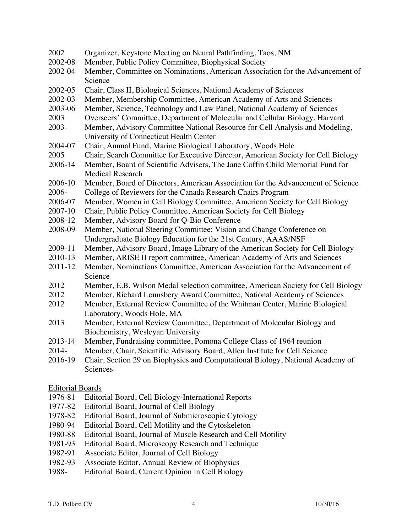| 2002                    | Organizer, Keystone Meeting on Neural Pathfinding, Taos, NM                                                             |  |
|-------------------------|-------------------------------------------------------------------------------------------------------------------------|--|
| 2002-08                 | Member, Public Policy Committee, Biophysical Society                                                                    |  |
| 2002-04                 | Member, Committee on Nominations, American Association for the Advancement of                                           |  |
|                         | Science                                                                                                                 |  |
| 2002-05                 | Chair, Class II, Biological Sciences, National Academy of Sciences                                                      |  |
| 2002-03                 | Member, Membership Committee, American Academy of Arts and Sciences                                                     |  |
| 2003-06                 | Member, Science, Technology and Law Panel, National Academy of Sciences                                                 |  |
| 2003                    | Overseers' Committee, Department of Molecular and Cellular Biology, Harvard                                             |  |
| 2003-                   | Member, Advisory Committee National Resource for Cell Analysis and Modeling,<br>University of Connecticut Health Center |  |
| 2004-07                 | Chair, Annual Fund, Marine Biological Laboratory, Woods Hole                                                            |  |
| 2005                    | Chair, Search Committee for Executive Director, American Society for Cell Biology                                       |  |
| 2006-14                 | Member, Board of Scientific Advisers, The Jane Coffin Child Memorial Fund for                                           |  |
|                         | <b>Medical Research</b>                                                                                                 |  |
| 2006-10                 | Member, Board of Directors, American Association for the Advancement of Science                                         |  |
| 2006-                   | College of Reviewers for the Canada Research Chairs Program                                                             |  |
| 2006-07                 | Member, Women in Cell Biology Committee, American Society for Cell Biology                                              |  |
| 2007-10                 | Chair, Public Policy Committee, American Society for Cell Biology                                                       |  |
| 2008-12                 | Member, Advisory Board for Q-Bio Conference                                                                             |  |
| 2008-09                 | Member, National Steering Committee: Vision and Change Conference on                                                    |  |
|                         | Undergraduate Biology Education for the 21st Century, AAAS/NSF                                                          |  |
| 2009-11                 | Member, Advisory Board, Image Library of the American Society for Cell Biology                                          |  |
| 2010-13                 | Member, ARISE II report committee, American Academy of Arts and Sciences                                                |  |
| $2011 - 12$             | Member, Nominations Committee, American Association for the Advancement of                                              |  |
|                         | Science                                                                                                                 |  |
| 2012                    | Member, E.B. Wilson Medal selection committee, American Society for Cell Biology                                        |  |
| 2012                    | Member, Richard Lounsbery Award Committee, National Academy of Sciences                                                 |  |
| 2012                    | Member, External Review Committee of the Whitman Center, Marine Biological                                              |  |
|                         | Laboratory, Woods Hole, MA                                                                                              |  |
| 2013                    | Member, External Review Committee, Department of Molecular Biology and                                                  |  |
|                         | Biochemistry, Wesleyan University                                                                                       |  |
| 2013-14                 | Member, Fundraising committee, Pomona College Class of 1964 reunion                                                     |  |
| 2014-                   | Member, Chair, Scientific Advisory Board, Allen Institute for Cell Science                                              |  |
| 2016-19                 | Chair, Section 29 on Biophysics and Computational Biology, National Academy of                                          |  |
|                         | Sciences                                                                                                                |  |
| <b>Editorial Boards</b> |                                                                                                                         |  |
| 1976-81                 | Editorial Board, Cell Biology-International Reports                                                                     |  |
| 1977-82                 | Editorial Board, Journal of Cell Biology                                                                                |  |

- 1978-82 Editorial Board, Journal of Submicroscopic Cytology
- 1980-94 Editorial Board, Cell Motility and the Cytoskeleton<br>1980-88 Editorial Board, Journal of Muscle Research and Ce
- 1980-88 Editorial Board, Journal of Muscle Research and Cell Motility<br>1981-93 Editorial Board, Microscopy Research and Technique
- Editorial Board, Microscopy Research and Technique
- 1982-91 Associate Editor, Journal of Cell Biology<br>1982-93 Associate Editor, Annual Review of Biop
- 1982-93 Associate Editor, Annual Review of Biophysics<br>1988- Editorial Board, Current Opinion in Cell Biology
- Editorial Board, Current Opinion in Cell Biology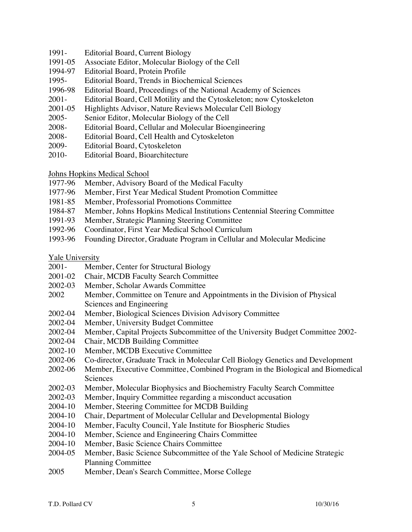- 1991- Editorial Board, Current Biology
- 1991-05 Associate Editor, Molecular Biology of the Cell
- 1994-97 Editorial Board, Protein Profile
- 1995- Editorial Board, Trends in Biochemical Sciences
- 1996-98 Editorial Board, Proceedings of the National Academy of Sciences
- 2001- Editorial Board, Cell Motility and the Cytoskeleton; now Cytoskeleton
- 2001-05 Highlights Advisor, Nature Reviews Molecular Cell Biology
- 2005- Senior Editor, Molecular Biology of the Cell
- 2008- Editorial Board, Cellular and Molecular Bioengineering
- 2008- Editorial Board, Cell Health and Cytoskeleton
- 2009- Editorial Board, Cytoskeleton
- 2010- Editorial Board, Bioarchitecture

Johns Hopkins Medical School

- 1977-96 Member, Advisory Board of the Medical Faculty
- 1977-96 Member, First Year Medical Student Promotion Committee
- 1981-85 Member, Professorial Promotions Committee
- 1984-87 Member, Johns Hopkins Medical Institutions Centennial Steering Committee
- 1991-93 Member, Strategic Planning Steering Committee
- 1992-96 Coordinator, First Year Medical School Curriculum
- 1993-96 Founding Director, Graduate Program in Cellular and Molecular Medicine

Yale University

- 2001- Member, Center for Structural Biology
- 2001-02 Chair, MCDB Faculty Search Committee
- 2002-03 Member, Scholar Awards Committee
- 2002 Member, Committee on Tenure and Appointments in the Division of Physical Sciences and Engineering
- 2002-04 Member, Biological Sciences Division Advisory Committee
- 2002-04 Member, University Budget Committee
- 2002-04 Member, Capital Projects Subcommittee of the University Budget Committee 2002-
- 2002-04 Chair, MCDB Building Committee
- 2002-10 Member, MCDB Executive Committee
- 2002-06 Co-director, Graduate Track in Molecular Cell Biology Genetics and Development
- 2002-06 Member, Executive Committee, Combined Program in the Biological and Biomedical **Sciences**
- 2002-03 Member, Molecular Biophysics and Biochemistry Faculty Search Committee
- 2002-03 Member, Inquiry Committee regarding a misconduct accusation
- 2004-10 Member, Steering Committee for MCDB Building
- 2004-10 Chair, Department of Molecular Cellular and Developmental Biology
- 2004-10 Member, Faculty Council, Yale Institute for Biospheric Studies
- 2004-10 Member, Science and Engineering Chairs Committee
- 2004-10 Member, Basic Science Chairs Committee
- 2004-05 Member, Basic Science Subcommittee of the Yale School of Medicine Strategic Planning Committee
- 2005 Member, Dean's Search Committee, Morse College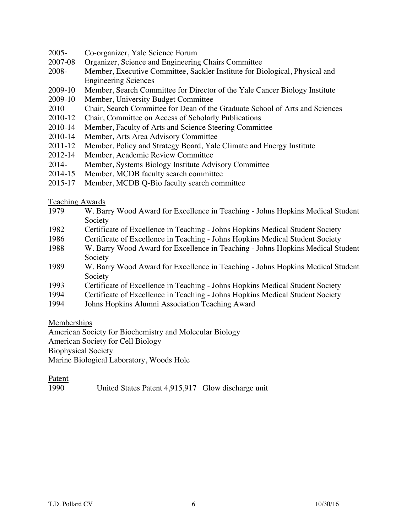- 2005- Co-organizer, Yale Science Forum
- 2007-08 Organizer, Science and Engineering Chairs Committee
- 2008- Member, Executive Committee, Sackler Institute for Biological, Physical and Engineering Sciences
- 2009-10 Member, Search Committee for Director of the Yale Cancer Biology Institute
- 2009-10 Member, University Budget Committee
- 2010 Chair, Search Committee for Dean of the Graduate School of Arts and Sciences
- 2010-12 Chair, Committee on Access of Scholarly Publications
- 2010-14 Member, Faculty of Arts and Science Steering Committee
- 2010-14 Member, Arts Area Advisory Committee
- 2011-12 Member, Policy and Strategy Board, Yale Climate and Energy Institute
- 2012-14 Member, Academic Review Committee
- 2014- Member, Systems Biology Institute Advisory Committee
- 2014-15 Member, MCDB faculty search committee
- 2015-17 Member, MCDB Q-Bio faculty search committee

#### Teaching Awards

- 1979 W. Barry Wood Award for Excellence in Teaching Johns Hopkins Medical Student Society
- 1982 Certificate of Excellence in Teaching Johns Hopkins Medical Student Society
- 1986 Certificate of Excellence in Teaching Johns Hopkins Medical Student Society
- 1988 W. Barry Wood Award for Excellence in Teaching Johns Hopkins Medical Student Society
- 1989 W. Barry Wood Award for Excellence in Teaching Johns Hopkins Medical Student Society
- 1993 Certificate of Excellence in Teaching Johns Hopkins Medical Student Society
- 1994 Certificate of Excellence in Teaching Johns Hopkins Medical Student Society
- 1994 Johns Hopkins Alumni Association Teaching Award

## Memberships

American Society for Biochemistry and Molecular Biology

American Society for Cell Biology

Biophysical Society

Marine Biological Laboratory, Woods Hole

## Patent

1990 United States Patent 4,915,917 Glow discharge unit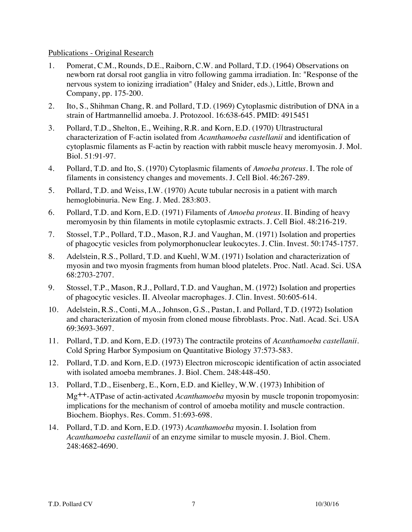### Publications - Original Research

- 1. Pomerat, C.M., Rounds, D.E., Raiborn, C.W. and Pollard, T.D. (1964) Observations on newborn rat dorsal root ganglia in vitro following gamma irradiation. In: "Response of the nervous system to ionizing irradiation" (Haley and Snider, eds.), Little, Brown and Company, pp. 175-200.
- 2. Ito, S., Shihman Chang, R. and Pollard, T.D. (1969) Cytoplasmic distribution of DNA in a strain of Hartmannellid amoeba. J. Protozool. 16:638-645. PMID: 4915451
- 3. Pollard, T.D., Shelton, E., Weihing, R.R. and Korn, E.D. (1970) Ultrastructural characterization of F-actin isolated from *Acanthamoeba castellanii* and identification of cytoplasmic filaments as F-actin by reaction with rabbit muscle heavy meromyosin. J. Mol. Biol. 51:91-97.
- 4. Pollard, T.D. and Ito, S. (1970) Cytoplasmic filaments of *Amoeba proteus*. I. The role of filaments in consistency changes and movements. J. Cell Biol. 46:267-289.
- 5. Pollard, T.D. and Weiss, I.W. (1970) Acute tubular necrosis in a patient with march hemoglobinuria. New Eng. J. Med. 283:803.
- 6. Pollard, T.D. and Korn, E.D. (1971) Filaments of *Amoeba proteus*. II. Binding of heavy meromyosin by thin filaments in motile cytoplasmic extracts. J. Cell Biol. 48:216-219.
- 7. Stossel, T.P., Pollard, T.D., Mason, R.J. and Vaughan, M. (1971) Isolation and properties of phagocytic vesicles from polymorphonuclear leukocytes. J. Clin. Invest. 50:1745-1757.
- 8. Adelstein, R.S., Pollard, T.D. and Kuehl, W.M. (1971) Isolation and characterization of myosin and two myosin fragments from human blood platelets. Proc. Natl. Acad. Sci. USA 68:2703-2707.
- 9. Stossel, T.P., Mason, R.J., Pollard, T.D. and Vaughan, M. (1972) Isolation and properties of phagocytic vesicles. II. Alveolar macrophages. J. Clin. Invest. 50:605-614.
- 10. Adelstein, R.S., Conti, M.A., Johnson, G.S., Pastan, I. and Pollard, T.D. (1972) Isolation and characterization of myosin from cloned mouse fibroblasts. Proc. Natl. Acad. Sci. USA 69:3693-3697.
- 11. Pollard, T.D. and Korn, E.D. (1973) The contractile proteins of *Acanthamoeba castellanii*. Cold Spring Harbor Symposium on Quantitative Biology 37:573-583.
- 12. Pollard, T.D. and Korn, E.D. (1973) Electron microscopic identification of actin associated with isolated amoeba membranes. J. Biol. Chem. 248:448-450.
- 13. Pollard, T.D., Eisenberg, E., Korn, E.D. and Kielley, W.W. (1973) Inhibition of Mg++-ATPase of actin-activated *Acanthamoeba* myosin by muscle troponin tropomyosin: implications for the mechanism of control of amoeba motility and muscle contraction. Biochem. Biophys. Res. Comm. 51:693-698.
- 14. Pollard, T.D. and Korn, E.D. (1973) *Acanthamoeba* myosin. I. Isolation from *Acanthamoeba castellanii* of an enzyme similar to muscle myosin. J. Biol. Chem. 248:4682-4690.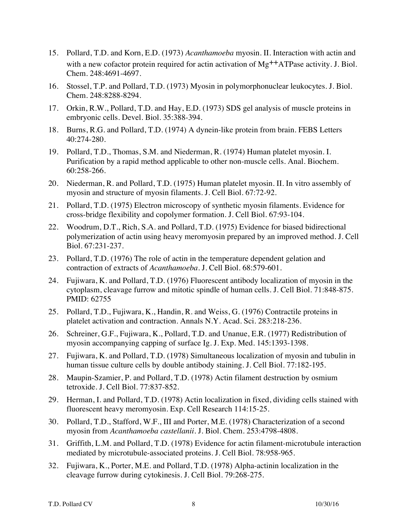- 15. Pollard, T.D. and Korn, E.D. (1973) *Acanthamoeba* myosin. II. Interaction with actin and with a new cofactor protein required for actin activation of  $Mg^{++}ATP$ ase activity. J. Biol. Chem. 248:4691-4697.
- 16. Stossel, T.P. and Pollard, T.D. (1973) Myosin in polymorphonuclear leukocytes. J. Biol. Chem. 248:8288-8294.
- 17. Orkin, R.W., Pollard, T.D. and Hay, E.D. (1973) SDS gel analysis of muscle proteins in embryonic cells. Devel. Biol. 35:388-394.
- 18. Burns, R.G. and Pollard, T.D. (1974) A dynein-like protein from brain. FEBS Letters 40:274-280.
- 19. Pollard, T.D., Thomas, S.M. and Niederman, R. (1974) Human platelet myosin. I. Purification by a rapid method applicable to other non-muscle cells. Anal. Biochem. 60:258-266.
- 20. Niederman, R. and Pollard, T.D. (1975) Human platelet myosin. II. In vitro assembly of myosin and structure of myosin filaments. J. Cell Biol. 67:72-92.
- 21. Pollard, T.D. (1975) Electron microscopy of synthetic myosin filaments. Evidence for cross-bridge flexibility and copolymer formation. J. Cell Biol. 67:93-104.
- 22. Woodrum, D.T., Rich, S.A. and Pollard, T.D. (1975) Evidence for biased bidirectional polymerization of actin using heavy meromyosin prepared by an improved method. J. Cell Biol. 67:231-237.
- 23. Pollard, T.D. (1976) The role of actin in the temperature dependent gelation and contraction of extracts of *Acanthamoeba*. J. Cell Biol. 68:579-601.
- 24. Fujiwara, K. and Pollard, T.D. (1976) Fluorescent antibody localization of myosin in the cytoplasm, cleavage furrow and mitotic spindle of human cells. J. Cell Biol. 71:848-875. PMID: 62755
- 25. Pollard, T.D., Fujiwara, K., Handin, R. and Weiss, G. (1976) Contractile proteins in platelet activation and contraction. Annals N.Y. Acad. Sci. 283:218-236.
- 26. Schreiner, G.F., Fujiwara, K., Pollard, T.D. and Unanue, E.R. (1977) Redistribution of myosin accompanying capping of surface Ig. J. Exp. Med. 145:1393-1398.
- 27. Fujiwara, K. and Pollard, T.D. (1978) Simultaneous localization of myosin and tubulin in human tissue culture cells by double antibody staining. J. Cell Biol. 77:182-195.
- 28. Maupin-Szamier, P. and Pollard, T.D. (1978) Actin filament destruction by osmium tetroxide. J. Cell Biol. 77:837-852.
- 29. Herman, I. and Pollard, T.D. (1978) Actin localization in fixed, dividing cells stained with fluorescent heavy meromyosin. Exp. Cell Research 114:15-25.
- 30. Pollard, T.D., Stafford, W.F., III and Porter, M.E. (1978) Characterization of a second myosin from *Acanthamoeba castellanii*. J. Biol. Chem. 253:4798-4808.
- 31. Griffith, L.M. and Pollard, T.D. (1978) Evidence for actin filament-microtubule interaction mediated by microtubule-associated proteins. J. Cell Biol. 78:958-965.
- 32. Fujiwara, K., Porter, M.E. and Pollard, T.D. (1978) Alpha-actinin localization in the cleavage furrow during cytokinesis. J. Cell Biol. 79:268-275.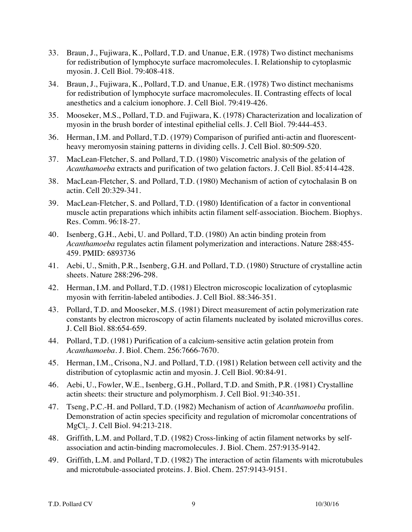- 33. Braun, J., Fujiwara, K., Pollard, T.D. and Unanue, E.R. (1978) Two distinct mechanisms for redistribution of lymphocyte surface macromolecules. I. Relationship to cytoplasmic myosin. J. Cell Biol. 79:408-418.
- 34. Braun, J., Fujiwara, K., Pollard, T.D. and Unanue, E.R. (1978) Two distinct mechanisms for redistribution of lymphocyte surface macromolecules. II. Contrasting effects of local anesthetics and a calcium ionophore. J. Cell Biol. 79:419-426.
- 35. Mooseker, M.S., Pollard, T.D. and Fujiwara, K. (1978) Characterization and localization of myosin in the brush border of intestinal epithelial cells. J. Cell Biol. 79:444-453.
- 36. Herman, I.M. and Pollard, T.D. (1979) Comparison of purified anti-actin and fluorescentheavy meromyosin staining patterns in dividing cells. J. Cell Biol. 80:509-520.
- 37. MacLean-Fletcher, S. and Pollard, T.D. (1980) Viscometric analysis of the gelation of *Acanthamoeba* extracts and purification of two gelation factors. J. Cell Biol. 85:414-428.
- 38. MacLean-Fletcher, S. and Pollard, T.D. (1980) Mechanism of action of cytochalasin B on actin. Cell 20:329-341.
- 39. MacLean-Fletcher, S. and Pollard, T.D. (1980) Identification of a factor in conventional muscle actin preparations which inhibits actin filament self-association. Biochem. Biophys. Res. Comm. 96:18-27.
- 40. Isenberg, G.H., Aebi, U. and Pollard, T.D. (1980) An actin binding protein from *Acanthamoeba* regulates actin filament polymerization and interactions. Nature 288:455- 459. PMID: 6893736
- 41. Aebi, U., Smith, P.R., Isenberg, G.H. and Pollard, T.D. (1980) Structure of crystalline actin sheets. Nature 288:296-298.
- 42. Herman, I.M. and Pollard, T.D. (1981) Electron microscopic localization of cytoplasmic myosin with ferritin-labeled antibodies. J. Cell Biol. 88:346-351.
- 43. Pollard, T.D. and Mooseker, M.S. (1981) Direct measurement of actin polymerization rate constants by electron microscopy of actin filaments nucleated by isolated microvillus cores. J. Cell Biol. 88:654-659.
- 44. Pollard, T.D. (1981) Purification of a calcium-sensitive actin gelation protein from *Acanthamoeba*. J. Biol. Chem. 256:7666-7670.
- 45. Herman, I.M., Crisona, N.J. and Pollard, T.D. (1981) Relation between cell activity and the distribution of cytoplasmic actin and myosin. J. Cell Biol. 90:84-91.
- 46. Aebi, U., Fowler, W.E., Isenberg, G.H., Pollard, T.D. and Smith, P.R. (1981) Crystalline actin sheets: their structure and polymorphism. J. Cell Biol. 91:340-351.
- 47. Tseng, P.C.-H. and Pollard, T.D. (1982) Mechanism of action of *Acanthamoeba* profilin. Demonstration of actin species specificity and regulation of micromolar concentrations of MgCl<sub>2</sub>. J. Cell Biol. 94:213-218.
- 48. Griffith, L.M. and Pollard, T.D. (1982) Cross-linking of actin filament networks by selfassociation and actin-binding macromolecules. J. Biol. Chem. 257:9135-9142.
- 49. Griffith, L.M. and Pollard, T.D. (1982) The interaction of actin filaments with microtubules and microtubule-associated proteins. J. Biol. Chem. 257:9143-9151.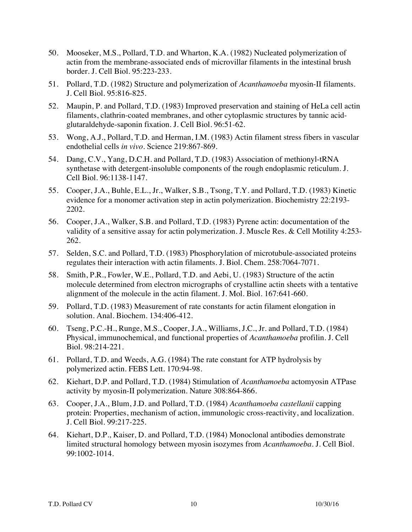- 50. Mooseker, M.S., Pollard, T.D. and Wharton, K.A. (1982) Nucleated polymerization of actin from the membrane-associated ends of microvillar filaments in the intestinal brush border. J. Cell Biol. 95:223-233.
- 51. Pollard, T.D. (1982) Structure and polymerization of *Acanthamoeba* myosin-II filaments. J. Cell Biol. 95:816-825.
- 52. Maupin, P. and Pollard, T.D. (1983) Improved preservation and staining of HeLa cell actin filaments, clathrin-coated membranes, and other cytoplasmic structures by tannic acidglutaraldehyde-saponin fixation. J. Cell Biol. 96:51-62.
- 53. Wong, A.J., Pollard, T.D. and Herman, I.M. (1983) Actin filament stress fibers in vascular endothelial cells *in vivo*. Science 219:867-869.
- 54. Dang, C.V., Yang, D.C.H. and Pollard, T.D. (1983) Association of methionyl-tRNA synthetase with detergent-insoluble components of the rough endoplasmic reticulum. J. Cell Biol. 96:1138-1147.
- 55. Cooper, J.A., Buhle, E.L., Jr., Walker, S.B., Tsong, T.Y. and Pollard, T.D. (1983) Kinetic evidence for a monomer activation step in actin polymerization. Biochemistry 22:2193- 2202.
- 56. Cooper, J.A., Walker, S.B. and Pollard, T.D. (1983) Pyrene actin: documentation of the validity of a sensitive assay for actin polymerization. J. Muscle Res. & Cell Motility 4:253- 262.
- 57. Selden, S.C. and Pollard, T.D. (1983) Phosphorylation of microtubule-associated proteins regulates their interaction with actin filaments. J. Biol. Chem. 258:7064-7071.
- 58. Smith, P.R., Fowler, W.E., Pollard, T.D. and Aebi, U. (1983) Structure of the actin molecule determined from electron micrographs of crystalline actin sheets with a tentative alignment of the molecule in the actin filament. J. Mol. Biol. 167:641-660.
- 59. Pollard, T.D. (1983) Measurement of rate constants for actin filament elongation in solution. Anal. Biochem. 134:406-412.
- 60. Tseng, P.C.-H., Runge, M.S., Cooper, J.A., Williams, J.C., Jr. and Pollard, T.D. (1984) Physical, immunochemical, and functional properties of *Acanthamoeba* profilin. J. Cell Biol. 98:214-221.
- 61. Pollard, T.D. and Weeds, A.G. (1984) The rate constant for ATP hydrolysis by polymerized actin. FEBS Lett. 170:94-98.
- 62. Kiehart, D.P. and Pollard, T.D. (1984) Stimulation of *Acanthamoeba* actomyosin ATPase activity by myosin-II polymerization. Nature 308:864-866.
- 63. Cooper, J.A., Blum, J.D. and Pollard, T.D. (1984) *Acanthamoeba castellanii* capping protein: Properties, mechanism of action, immunologic cross-reactivity, and localization. J. Cell Biol. 99:217-225.
- 64. Kiehart, D.P., Kaiser, D. and Pollard, T.D. (1984) Monoclonal antibodies demonstrate limited structural homology between myosin isozymes from *Acanthamoeba*. J. Cell Biol. 99:1002-1014.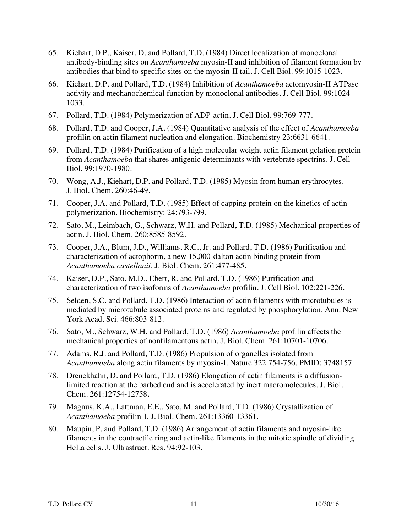- 65. Kiehart, D.P., Kaiser, D. and Pollard, T.D. (1984) Direct localization of monoclonal antibody-binding sites on *Acanthamoeba* myosin-II and inhibition of filament formation by antibodies that bind to specific sites on the myosin-II tail. J. Cell Biol. 99:1015-1023.
- 66. Kiehart, D.P. and Pollard, T.D. (1984) Inhibition of *Acanthamoeba* actomyosin-II ATPase activity and mechanochemical function by monoclonal antibodies. J. Cell Biol. 99:1024- 1033.
- 67. Pollard, T.D. (1984) Polymerization of ADP-actin. J. Cell Biol. 99:769-777.
- 68. Pollard, T.D. and Cooper, J.A. (1984) Quantitative analysis of the effect of *Acanthamoeba* profilin on actin filament nucleation and elongation. Biochemistry 23:6631-6641.
- 69. Pollard, T.D. (1984) Purification of a high molecular weight actin filament gelation protein from *Acanthamoeba* that shares antigenic determinants with vertebrate spectrins. J. Cell Biol. 99:1970-1980.
- 70. Wong, A.J., Kiehart, D.P. and Pollard, T.D. (1985) Myosin from human erythrocytes. J. Biol. Chem. 260:46-49.
- 71. Cooper, J.A. and Pollard, T.D. (1985) Effect of capping protein on the kinetics of actin polymerization. Biochemistry: 24:793-799.
- 72. Sato, M., Leimbach, G., Schwarz, W.H. and Pollard, T.D. (1985) Mechanical properties of actin. J. Biol. Chem. 260:8585-8592.
- 73. Cooper, J.A., Blum, J.D., Williams, R.C., Jr. and Pollard, T.D. (1986) Purification and characterization of actophorin, a new 15,000-dalton actin binding protein from *Acanthamoeba castellanii*. J. Biol. Chem. 261:477-485.
- 74. Kaiser, D.P., Sato, M.D., Ebert, R. and Pollard, T.D. (1986) Purification and characterization of two isoforms of *Acanthamoeba* profilin. J. Cell Biol. 102:221-226.
- 75. Selden, S.C. and Pollard, T.D. (1986) Interaction of actin filaments with microtubules is mediated by microtubule associated proteins and regulated by phosphorylation. Ann. New York Acad. Sci. 466:803-812.
- 76. Sato, M., Schwarz, W.H. and Pollard, T.D. (1986) *Acanthamoeba* profilin affects the mechanical properties of nonfilamentous actin. J. Biol. Chem. 261:10701-10706.
- 77. Adams, R.J. and Pollard, T.D. (1986) Propulsion of organelles isolated from *Acanthamoeba* along actin filaments by myosin-I. Nature 322:754-756. PMID: 3748157
- 78. Drenckhahn, D. and Pollard, T.D. (1986) Elongation of actin filaments is a diffusionlimited reaction at the barbed end and is accelerated by inert macromolecules. J. Biol. Chem. 261:12754-12758.
- 79. Magnus, K.A., Lattman, E.E., Sato, M. and Pollard, T.D. (1986) Crystallization of *Acanthamoeba* profilin-I. J. Biol. Chem. 261:13360-13361.
- 80. Maupin, P. and Pollard, T.D. (1986) Arrangement of actin filaments and myosin-like filaments in the contractile ring and actin-like filaments in the mitotic spindle of dividing HeLa cells. J. Ultrastruct. Res. 94:92-103.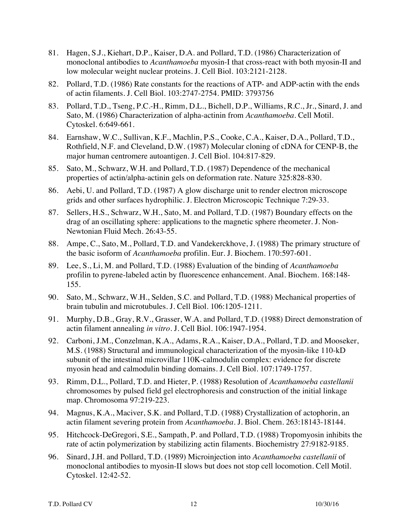- 81. Hagen, S.J., Kiehart, D.P., Kaiser, D.A. and Pollard, T.D. (1986) Characterization of monoclonal antibodies to *Acanthamoeba* myosin-I that cross-react with both myosin-II and low molecular weight nuclear proteins. J. Cell Biol. 103:2121-2128.
- 82. Pollard, T.D. (1986) Rate constants for the reactions of ATP- and ADP-actin with the ends of actin filaments. J. Cell Biol. 103:2747-2754. PMID: 3793756
- 83. Pollard, T.D., Tseng, P.C.-H., Rimm, D.L., Bichell, D.P., Williams, R.C., Jr., Sinard, J. and Sato, M. (1986) Characterization of alpha-actinin from *Acanthamoeba*. Cell Motil. Cytoskel. 6:649-661.
- 84. Earnshaw, W.C., Sullivan, K.F., Machlin, P.S., Cooke, C.A., Kaiser, D.A., Pollard, T.D., Rothfield, N.F. and Cleveland, D.W. (1987) Molecular cloning of cDNA for CENP-B, the major human centromere autoantigen. J. Cell Biol. 104:817-829.
- 85. Sato, M., Schwarz, W.H. and Pollard, T.D. (1987) Dependence of the mechanical properties of actin/alpha-actinin gels on deformation rate. Nature 325:828-830.
- 86. Aebi, U. and Pollard, T.D. (1987) A glow discharge unit to render electron microscope grids and other surfaces hydrophilic. J. Electron Microscopic Technique 7:29-33.
- 87. Sellers, H.S., Schwarz, W.H., Sato, M. and Pollard, T.D. (1987) Boundary effects on the drag of an oscillating sphere: applications to the magnetic sphere rheometer. J. Non-Newtonian Fluid Mech. 26:43-55.
- 88. Ampe, C., Sato, M., Pollard, T.D. and Vandekerckhove, J. (1988) The primary structure of the basic isoform of *Acanthamoeba* profilin. Eur. J. Biochem. 170:597-601.
- 89. Lee, S., Li, M. and Pollard, T.D. (1988) Evaluation of the binding of *Acanthamoeba* profilin to pyrene-labeled actin by fluorescence enhancement. Anal. Biochem. 168:148- 155.
- 90. Sato, M., Schwarz, W.H., Selden, S.C. and Pollard, T.D. (1988) Mechanical properties of brain tubulin and microtubules. J. Cell Biol. 106:1205-1211.
- 91. Murphy, D.B., Gray, R.V., Grasser, W.A. and Pollard, T.D. (1988) Direct demonstration of actin filament annealing *in vitro*. J. Cell Biol. 106:1947-1954.
- 92. Carboni, J.M., Conzelman, K.A., Adams, R.A., Kaiser, D.A., Pollard, T.D. and Mooseker, M.S. (1988) Structural and immunological characterization of the myosin-like 110-kD subunit of the intestinal microvillar 110K-calmodulin complex: evidence for discrete myosin head and calmodulin binding domains. J. Cell Biol. 107:1749-1757.
- 93. Rimm, D.L., Pollard, T.D. and Hieter, P. (1988) Resolution of *Acanthamoeba castellanii* chromosomes by pulsed field gel electrophoresis and construction of the initial linkage map. Chromosoma 97:219-223.
- 94. Magnus, K.A., Maciver, S.K. and Pollard, T.D. (1988) Crystallization of actophorin, an actin filament severing protein from *Acanthamoeba*. J. Biol. Chem. 263:18143-18144.
- 95. Hitchcock-DeGregori, S.E., Sampath, P. and Pollard, T.D. (1988) Tropomyosin inhibits the rate of actin polymerization by stabilizing actin filaments. Biochemistry 27:9182-9185.
- 96. Sinard, J.H. and Pollard, T.D. (1989) Microinjection into *Acanthamoeba castellanii* of monoclonal antibodies to myosin-II slows but does not stop cell locomotion. Cell Motil. Cytoskel. 12:42-52.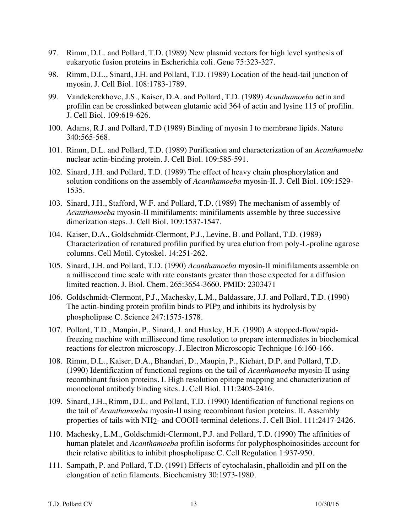- 97. Rimm, D.L. and Pollard, T.D. (1989) New plasmid vectors for high level synthesis of eukaryotic fusion proteins in Escherichia coli. Gene 75:323-327.
- 98. Rimm, D.L., Sinard, J.H. and Pollard, T.D. (1989) Location of the head-tail junction of myosin. J. Cell Biol. 108:1783-1789.
- 99. Vandekerckhove, J.S., Kaiser, D.A. and Pollard, T.D. (1989) *Acanthamoeba* actin and profilin can be crosslinked between glutamic acid 364 of actin and lysine 115 of profilin. J. Cell Biol. 109:619-626.
- 100. Adams, R.J. and Pollard, T.D (1989) Binding of myosin I to membrane lipids. Nature 340:565-568.
- 101. Rimm, D.L. and Pollard, T.D. (1989) Purification and characterization of an *Acanthamoeba* nuclear actin-binding protein. J. Cell Biol. 109:585-591.
- 102. Sinard, J.H. and Pollard, T.D. (1989) The effect of heavy chain phosphorylation and solution conditions on the assembly of *Acanthamoeba* myosin-II. J. Cell Biol. 109:1529- 1535.
- 103. Sinard, J.H., Stafford, W.F. and Pollard, T.D. (1989) The mechanism of assembly of *Acanthamoeba* myosin-II minifilaments: minifilaments assemble by three successive dimerization steps. J. Cell Biol. 109:1537-1547.
- 104. Kaiser, D.A., Goldschmidt-Clermont, P.J., Levine, B. and Pollard, T.D. (1989) Characterization of renatured profilin purified by urea elution from poly-L-proline agarose columns. Cell Motil. Cytoskel. 14:251-262.
- 105. Sinard, J.H. and Pollard, T.D. (1990) *Acanthamoeba* myosin-II minifilaments assemble on a millisecond time scale with rate constants greater than those expected for a diffusion limited reaction. J. Biol. Chem. 265:3654-3660. PMID: 2303471
- 106. Goldschmidt-Clermont, P.J., Machesky, L.M., Baldassare, J.J. and Pollard, T.D. (1990) The actin-binding protein profilin binds to PIP2 and inhibits its hydrolysis by phospholipase C. Science 247:1575-1578.
- 107. Pollard, T.D., Maupin, P., Sinard, J. and Huxley, H.E. (1990) A stopped-flow/rapidfreezing machine with millisecond time resolution to prepare intermediates in biochemical reactions for electron microscopy. J. Electron Microscopic Technique 16:160-166.
- 108. Rimm, D.L., Kaiser, D.A., Bhandari, D., Maupin, P., Kiehart, D.P. and Pollard, T.D. (1990) Identification of functional regions on the tail of *Acanthamoeba* myosin-II using recombinant fusion proteins. I. High resolution epitope mapping and characterization of monoclonal antibody binding sites. J. Cell Biol. 111:2405-2416.
- 109. Sinard, J.H., Rimm, D.L. and Pollard, T.D. (1990) Identification of functional regions on the tail of *Acanthamoeba* myosin-II using recombinant fusion proteins. II. Assembly properties of tails with NH2- and COOH-terminal deletions. J. Cell Biol. 111:2417-2426.
- 110. Machesky, L.M., Goldschmidt-Clermont, P.J. and Pollard, T.D. (1990) The affinities of human platelet and *Acanthamoeba* profilin isoforms for polyphosphoinositides account for their relative abilities to inhibit phospholipase C. Cell Regulation 1:937-950.
- 111. Sampath, P. and Pollard, T.D. (1991) Effects of cytochalasin, phalloidin and pH on the elongation of actin filaments. Biochemistry 30:1973-1980.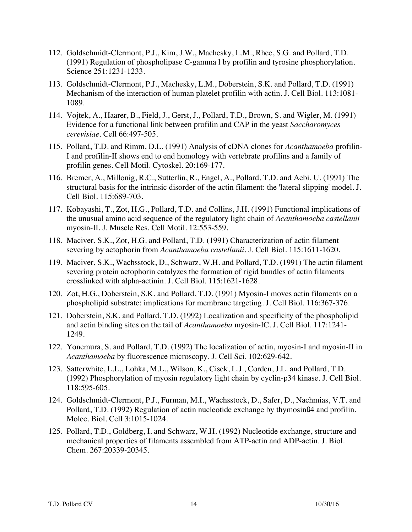- 112. Goldschmidt-Clermont, P.J., Kim, J.W., Machesky, L.M., Rhee, S.G. and Pollard, T.D. (1991) Regulation of phospholipase C-gamma l by profilin and tyrosine phosphorylation. Science 251:1231-1233.
- 113. Goldschmidt-Clermont, P.J., Machesky, L.M., Doberstein, S.K. and Pollard, T.D. (1991) Mechanism of the interaction of human platelet profilin with actin. J. Cell Biol. 113:1081- 1089.
- 114. Vojtek, A., Haarer, B., Field, J., Gerst, J., Pollard, T.D., Brown, S. and Wigler, M. (1991) Evidence for a functional link between profilin and CAP in the yeast *Saccharomyces cerevisiae*. Cell 66:497-505.
- 115. Pollard, T.D. and Rimm, D.L. (1991) Analysis of cDNA clones for *Acanthamoeba* profilin-I and profilin-II shows end to end homology with vertebrate profilins and a family of profilin genes. Cell Motil. Cytoskel. 20:169-177.
- 116. Bremer, A., Millonig, R.C., Sutterlin, R., Engel, A., Pollard, T.D. and Aebi, U. (1991) The structural basis for the intrinsic disorder of the actin filament: the 'lateral slipping' model. J. Cell Biol. 115:689-703.
- 117. Kobayashi, T., Zot, H.G., Pollard, T.D. and Collins, J.H. (1991) Functional implications of the unusual amino acid sequence of the regulatory light chain of *Acanthamoeba castellanii* myosin-II. J. Muscle Res. Cell Motil. 12:553-559.
- 118. Maciver, S.K., Zot, H.G. and Pollard, T.D. (1991) Characterization of actin filament severing by actophorin from *Acanthamoeba castellanii*. J. Cell Biol. 115:1611-1620.
- 119. Maciver, S.K., Wachsstock, D., Schwarz, W.H. and Pollard, T.D. (1991) The actin filament severing protein actophorin catalyzes the formation of rigid bundles of actin filaments crosslinked with alpha-actinin. J. Cell Biol. 115:1621-1628.
- 120. Zot, H.G., Doberstein, S.K. and Pollard, T.D. (1991) Myosin-I moves actin filaments on a phospholipid substrate: implications for membrane targeting. J. Cell Biol. 116:367-376.
- 121. Doberstein, S.K. and Pollard, T.D. (1992) Localization and specificity of the phospholipid and actin binding sites on the tail of *Acanthamoeba* myosin-IC. J. Cell Biol. 117:1241- 1249.
- 122. Yonemura, S. and Pollard, T.D. (1992) The localization of actin, myosin-I and myosin-II in *Acanthamoeba* by fluorescence microscopy. J. Cell Sci. 102:629-642.
- 123. Satterwhite, L.L., Lohka, M.L., Wilson, K., Cisek, L.J., Corden, J.L. and Pollard, T.D. (1992) Phosphorylation of myosin regulatory light chain by cyclin-p34 kinase. J. Cell Biol. 118:595-605.
- 124. Goldschmidt-Clermont, P.J., Furman, M.I., Wachsstock, D., Safer, D., Nachmias, V.T. and Pollard, T.D. (1992) Regulation of actin nucleotide exchange by thymosinß4 and profilin. Molec. Biol. Cell 3:1015-1024.
- 125. Pollard, T.D., Goldberg, I. and Schwarz, W.H. (1992) Nucleotide exchange, structure and mechanical properties of filaments assembled from ATP-actin and ADP-actin. J. Biol. Chem. 267:20339-20345.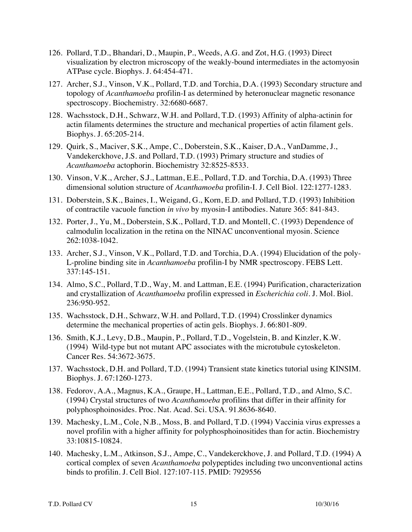- 126. Pollard, T.D., Bhandari, D., Maupin, P., Weeds, A.G. and Zot, H.G. (1993) Direct visualization by electron microscopy of the weakly-bound intermediates in the actomyosin ATPase cycle. Biophys. J. 64:454-471.
- 127. Archer, S.J., Vinson, V.K., Pollard, T.D. and Torchia, D.A. (1993) Secondary structure and topology of *Acanthamoeba* profilin-I as determined by heteronuclear magnetic resonance spectroscopy. Biochemistry. 32:6680-6687.
- 128. Wachsstock, D.H., Schwarz, W.H. and Pollard, T.D. (1993) Affinity of alpha-actinin for actin filaments determines the structure and mechanical properties of actin filament gels. Biophys. J. 65:205-214.
- 129. Quirk, S., Maciver, S.K., Ampe, C., Doberstein, S.K., Kaiser, D.A., VanDamme, J., Vandekerckhove, J.S. and Pollard, T.D. (1993) Primary structure and studies of *Acanthamoeba* actophorin. Biochemistry 32:8525-8533.
- 130. Vinson, V.K., Archer, S.J., Lattman, E.E., Pollard, T.D. and Torchia, D.A. (1993) Three dimensional solution structure of *Acanthamoeba* profilin-I. J. Cell Biol. 122:1277-1283.
- 131. Doberstein, S.K., Baines, I., Weigand, G., Korn, E.D. and Pollard, T.D. (1993) Inhibition of contractile vacuole function *in vivo* by myosin-I antibodies. Nature 365: 841-843.
- 132. Porter, J., Yu, M., Doberstein, S.K., Pollard, T.D. and Montell, C. (1993) Dependence of calmodulin localization in the retina on the NINAC unconventional myosin. Science 262:1038-1042.
- 133. Archer, S.J., Vinson, V.K., Pollard, T.D. and Torchia, D.A. (1994) Elucidation of the poly-L-proline binding site in *Acanthamoeba* profilin-I by NMR spectroscopy. FEBS Lett. 337:145-151.
- 134. Almo, S.C., Pollard, T.D., Way, M. and Lattman, E.E. (1994) Purification, characterization and crystallization of *Acanthamoeba* profilin expressed in *Escherichia coli*. J. Mol. Biol. 236:950-952.
- 135. Wachsstock, D.H., Schwarz, W.H. and Pollard, T.D. (1994) Crosslinker dynamics determine the mechanical properties of actin gels. Biophys. J. 66:801-809.
- 136. Smith, K.J., Levy, D.B., Maupin, P., Pollard, T.D., Vogelstein, B. and Kinzler, K.W. (1994) Wild-type but not mutant APC associates with the microtubule cytoskeleton. Cancer Res. 54:3672-3675.
- 137. Wachsstock, D.H. and Pollard, T.D. (1994) Transient state kinetics tutorial using KINSIM. Biophys. J. 67:1260-1273.
- 138. Fedorov, A.A., Magnus, K.A., Graupe, H., Lattman, E.E., Pollard, T.D., and Almo, S.C. (1994) Crystal structures of two *Acanthamoeba* profilins that differ in their affinity for polyphosphoinosides. Proc. Nat. Acad. Sci. USA. 91.8636-8640.
- 139. Machesky, L.M., Cole, N.B., Moss, B. and Pollard, T.D. (1994) Vaccinia virus expresses a novel profilin with a higher affinity for polyphosphoinositides than for actin. Biochemistry 33:10815-10824.
- 140. Machesky, L.M., Atkinson, S.J., Ampe, C., Vandekerckhove, J. and Pollard, T.D. (1994) A cortical complex of seven *Acanthamoeba* polypeptides including two unconventional actins binds to profilin. J. Cell Biol. 127:107-115. PMID: 7929556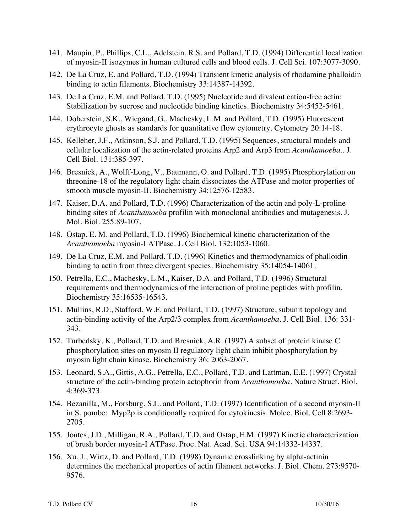- 141. Maupin, P., Phillips, C.L., Adelstein, R.S. and Pollard, T.D. (1994) Differential localization of myosin-II isozymes in human cultured cells and blood cells. J. Cell Sci. 107:3077-3090.
- 142. De La Cruz, E. and Pollard, T.D. (1994) Transient kinetic analysis of rhodamine phalloidin binding to actin filaments. Biochemistry 33:14387-14392.
- 143. De La Cruz, E.M. and Pollard, T.D. (1995) Nucleotide and divalent cation-free actin: Stabilization by sucrose and nucleotide binding kinetics. Biochemistry 34:5452-5461.
- 144. Doberstein, S.K., Wiegand, G., Machesky, L.M. and Pollard, T.D. (1995) Fluorescent erythrocyte ghosts as standards for quantitative flow cytometry. Cytometry 20:14-18.
- 145. Kelleher, J.F., Atkinson, S.J. and Pollard, T.D. (1995) Sequences, structural models and cellular localization of the actin-related proteins Arp2 and Arp3 from *Acanthamoeba*.. J. Cell Biol. 131:385-397.
- 146. Bresnick, A., Wolff-Long, V., Baumann, O. and Pollard, T.D. (1995) Phosphorylation on threonine-18 of the regulatory light chain dissociates the ATPase and motor properties of smooth muscle myosin-II. Biochemistry 34:12576-12583.
- 147. Kaiser, D.A. and Pollard, T.D. (1996) Characterization of the actin and poly-L-proline binding sites of *Acanthamoeba* profilin with monoclonal antibodies and mutagenesis. J. Mol. Biol. 255:89-107.
- 148. Ostap, E. M. and Pollard, T.D. (1996) Biochemical kinetic characterization of the *Acanthamoeba* myosin-I ATPase. J. Cell Biol. 132:1053-1060.
- 149. De La Cruz, E.M. and Pollard, T.D. (1996) Kinetics and thermodynamics of phalloidin binding to actin from three divergent species. Biochemistry 35:14054-14061.
- 150. Petrella, E.C., Machesky, L.M., Kaiser, D.A. and Pollard, T.D. (1996) Structural requirements and thermodynamics of the interaction of proline peptides with profilin. Biochemistry 35:16535-16543.
- 151. Mullins, R.D., Stafford, W.F. and Pollard, T.D. (1997) Structure, subunit topology and actin-binding activity of the Arp2/3 complex from *Acanthamoeba*. J. Cell Biol. 136: 331- 343.
- 152. Turbedsky, K., Pollard, T.D. and Bresnick, A.R. (1997) A subset of protein kinase C phosphorylation sites on myosin II regulatory light chain inhibit phosphorylation by myosin light chain kinase. Biochemistry 36: 2063-2067.
- 153. Leonard, S.A., Gittis, A.G., Petrella, E.C., Pollard, T.D. and Lattman, E.E. (1997) Crystal structure of the actin-binding protein actophorin from *Acanthamoeba*. Nature Struct. Biol. 4:369-373.
- 154. Bezanilla, M., Forsburg, S.L. and Pollard, T.D. (1997) Identification of a second myosin-II in S. pombe: Myp2p is conditionally required for cytokinesis. Molec. Biol. Cell 8:2693- 2705.
- 155. Jontes, J.D., Milligan, R.A., Pollard, T.D. and Ostap, E.M. (1997) Kinetic characterization of brush border myosin-I ATPase. Proc. Nat. Acad. Sci. USA 94:14332-14337.
- 156. Xu, J., Wirtz, D. and Pollard, T.D. (1998) Dynamic crosslinking by alpha-actinin determines the mechanical properties of actin filament networks. J. Biol. Chem. 273:9570- 9576.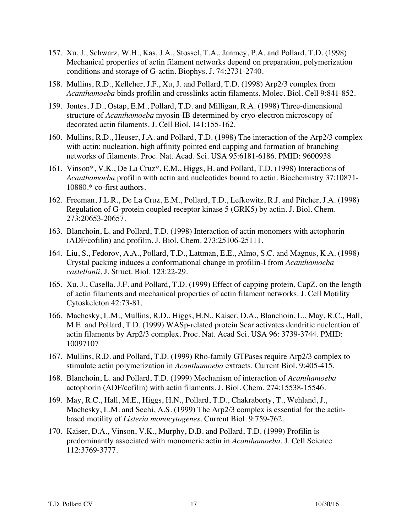- 157. Xu, J., Schwarz, W.H., Kas, J.A., Stossel, T.A., Janmey, P.A. and Pollard, T.D. (1998) Mechanical properties of actin filament networks depend on preparation, polymerization conditions and storage of G-actin. Biophys. J. 74:2731-2740.
- 158. Mullins, R.D., Kelleher, J.F., Xu, J. and Pollard, T.D. (1998) Arp2/3 complex from *Acanthamoeba* binds profilin and crosslinks actin filaments. Molec. Biol. Cell 9:841-852.
- 159. Jontes, J.D., Ostap, E.M., Pollard, T.D. and Milligan, R.A. (1998) Three-dimensional structure of *Acanthamoeba* myosin-IB determined by cryo-electron microscopy of decorated actin filaments. J. Cell Biol. 141:155-162.
- 160. Mullins, R.D., Heuser, J.A. and Pollard, T.D. (1998) The interaction of the Arp2/3 complex with actin: nucleation, high affinity pointed end capping and formation of branching networks of filaments. Proc. Nat. Acad. Sci. USA 95:6181-6186. PMID: 9600938
- 161. Vinson\*, V.K., De La Cruz\*, E.M., Higgs, H. and Pollard, T.D. (1998) Interactions of *Acanthamoeba* profilin with actin and nucleotides bound to actin. Biochemistry 37:10871- 10880.\* co-first authors.
- 162. Freeman, J.L.R., De La Cruz, E.M., Pollard, T.D., Lefkowitz, R.J. and Pitcher, J.A. (1998) Regulation of G-protein coupled receptor kinase 5 (GRK5) by actin. J. Biol. Chem. 273:20653-20657.
- 163. Blanchoin, L. and Pollard, T.D. (1998) Interaction of actin monomers with actophorin (ADF/cofilin) and profilin. J. Biol. Chem. 273:25106-25111.
- 164. Liu, S., Fedorov, A.A., Pollard, T.D., Lattman, E.E., Almo, S.C. and Magnus, K.A. (1998) Crystal packing induces a conformational change in profilin-I from *Acanthamoeba castellanii*. J. Struct. Biol. 123:22-29.
- 165. Xu, J., Casella, J.F. and Pollard, T.D. (1999) Effect of capping protein, CapZ, on the length of actin filaments and mechanical properties of actin filament networks. J. Cell Motility Cytoskeleton 42:73-81.
- 166. Machesky, L.M., Mullins, R.D., Higgs, H.N., Kaiser, D.A., Blanchoin, L., May, R.C., Hall, M.E. and Pollard, T.D. (1999) WASp-related protein Scar activates dendritic nucleation of actin filaments by Arp2/3 complex. Proc. Nat. Acad Sci. USA 96: 3739-3744. PMID: 10097107
- 167. Mullins, R.D. and Pollard, T.D. (1999) Rho-family GTPases require Arp2/3 complex to stimulate actin polymerization in *Acanthamoeba* extracts. Current Biol. 9:405-415.
- 168. Blanchoin, L. and Pollard, T.D. (1999) Mechanism of interaction of *Acanthamoeba* actophorin (ADF/cofilin) with actin filaments. J. Biol. Chem. 274:15538-15546.
- 169. May, R.C., Hall, M.E., Higgs, H.N., Pollard, T.D., Chakraborty, T., Wehland, J., Machesky, L.M. and Sechi, A.S. (1999) The Arp2/3 complex is essential for the actinbased motility of *Listeria monocytogenes*. Current Biol. 9:759-762.
- 170. Kaiser, D.A., Vinson, V.K., Murphy, D.B. and Pollard, T.D. (1999) Profilin is predominantly associated with monomeric actin in *Acanthamoeba*. J. Cell Science 112:3769-3777.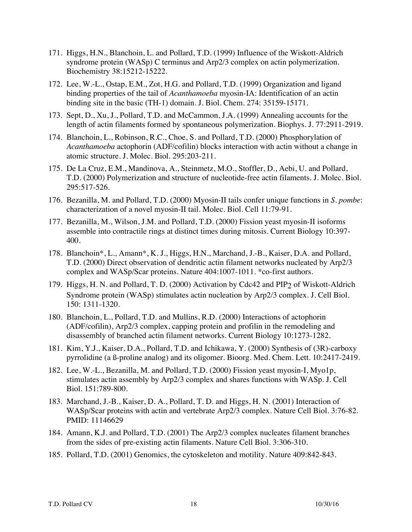- 171. Higgs, H.N., Blanchoin, L. and Pollard, T.D. (1999) Influence of the Wiskott-Aldrich syndrome protein (WASp) C terminus and Arp2/3 complex on actin polymerization. Biochemistry 38:15212-15222.
- 172. Lee, W.-L., Ostap, E.M., Zot, H.G. and Pollard, T.D. (1999) Organization and ligand binding properties of the tail of *Acanthamoeba* myosin-IA: Identification of an actin binding site in the basic (TH-1) domain. J. Biol. Chem. 274: 35159-15171.
- 173. Sept, D., Xu, J., Pollard, T.D. and McCammon, J.A. (1999) Annealing accounts for the length of actin filaments formed by spontaneous polymerization. Biophys. J. 77:2911-2919.
- 174. Blanchoin, L., Robinson, R.C., Choe, S. and Pollard, T.D. (2000) Phosphorylation of *Acanthamoeba* actophorin (ADF/cofilin) blocks interaction with actin without a change in atomic structure. J. Molec. Biol. 295:203-211.
- 175. De La Cruz, E.M., Mandinova, A., Steinmetz, M.O., Stoffler, D., Aebi, U. and Pollard, T.D. (2000) Polymerization and structure of nucleotide-free actin filaments. J. Molec. Biol. 295:517-526.
- 176. Bezanilla, M. and Pollard, T.D. (2000) Myosin-II tails confer unique functions in *S. pombe*: characterization of a novel myosin-II tail. Molec. Biol. Cell 11:79-91.
- 177. Bezanilla, M., Wilson, J.M. and Pollard, T.D. (2000) Fission yeast myosin-II isoforms assemble into contractile rings at distinct times during mitosis. Current Biology 10:397- 400.
- 178. Blanchoin\*, L., Amann\*, K. J., Higgs, H.N., Marchand, J.-B., Kaiser, D.A. and Pollard, T.D. (2000) Direct observation of dendritic actin filament networks nucleated by Arp2/3 complex and WASp/Scar proteins. Nature 404:1007-1011. \*co-first authors.
- 179. Higgs, H. N. and Pollard, T. D. (2000) Activation by Cdc42 and PIP2 of Wiskott-Aldrich Syndrome protein (WASp) stimulates actin nucleation by Arp2/3 complex. J. Cell Biol. 150: 1311-1320.
- 180. Blanchoin, L., Pollard, T.D. and Mullins, R.D. (2000) Interactions of actophorin (ADF/cofilin), Arp2/3 complex, capping protein and profilin in the remodeling and disassembly of branched actin filament networks. Current Biology 10:1273-1282.
- 181. Kim, Y.J., Kaiser, D.A., Pollard, T.D. and Ichikawa, Y. (2000) Synthesis of (3R)-carboxy pyrrolidine (a ß-proline analog) and its oligomer. Bioorg. Med. Chem. Lett. 10:2417-2419.
- 182. Lee, W.-L., Bezanilla, M. and Pollard, T.D. (2000) Fission yeast myosin-I, Myo1p, stimulates actin assembly by Arp2/3 complex and shares functions with WASp. J. Cell Biol. 151:789-800.
- 183. Marchand, J.-B., Kaiser, D. A., Pollard, T. D. and Higgs, H. N. (2001) Interaction of WASp/Scar proteins with actin and vertebrate Arp2/3 complex. Nature Cell Biol. 3:76-82. PMID: 11146629
- 184. Amann, K.J. and Pollard, T.D. (2001) The Arp2/3 complex nucleates filament branches from the sides of pre-existing actin filaments. Nature Cell Biol. 3:306-310.
- 185. Pollard, T.D. (2001) Genomics, the cytoskeleton and motility. Nature 409:842-843.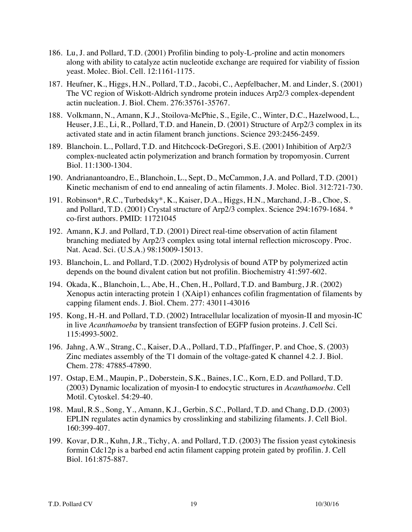- 186. Lu, J. and Pollard, T.D. (2001) Profilin binding to poly-L-proline and actin monomers along with ability to catalyze actin nucleotide exchange are required for viability of fission yeast. Molec. Biol. Cell. 12:1161-1175.
- 187. Heufner, K., Higgs, H.N., Pollard, T.D., Jacobi, C., Aepfelbacher, M. and Linder, S. (2001) The VC region of Wiskott-Aldrich syndrome protein induces Arp2/3 complex-dependent actin nucleation. J. Biol. Chem. 276:35761-35767.
- 188. Volkmann, N., Amann, K.J., Stoilova-McPhie, S., Egile, C., Winter, D.C., Hazelwood, L., Heuser, J.E., Li, R., Pollard, T.D. and Hanein, D. (2001) Structure of Arp2/3 complex in its activated state and in actin filament branch junctions. Science 293:2456-2459.
- 189. Blanchoin. L., Pollard, T.D. and Hitchcock-DeGregori, S.E. (2001) Inhibition of Arp2/3 complex-nucleated actin polymerization and branch formation by tropomyosin. Current Biol. 11:1300-1304.
- 190. Andrianantoandro, E., Blanchoin, L., Sept, D., McCammon, J.A. and Pollard, T.D. (2001) Kinetic mechanism of end to end annealing of actin filaments. J. Molec. Biol. 312:721-730.
- 191. Robinson\*, R.C., Turbedsky\*, K., Kaiser, D.A., Higgs, H.N., Marchand, J.-B., Choe, S. and Pollard, T.D. (2001) Crystal structure of Arp2/3 complex. Science 294:1679-1684. \* co-first authors. PMID: 11721045
- 192. Amann, K.J. and Pollard, T.D. (2001) Direct real-time observation of actin filament branching mediated by Arp2/3 complex using total internal reflection microscopy. Proc. Nat. Acad. Sci. (U.S.A.) 98:15009-15013.
- 193. Blanchoin, L. and Pollard, T.D. (2002) Hydrolysis of bound ATP by polymerized actin depends on the bound divalent cation but not profilin. Biochemistry 41:597-602.
- 194. Okada, K., Blanchoin, L., Abe, H., Chen, H., Pollard, T.D. and Bamburg, J.R. (2002) Xenopus actin interacting protein 1 (XAip1) enhances cofilin fragmentation of filaments by capping filament ends. J. Biol. Chem. 277: 43011-43016
- 195. Kong, H.-H. and Pollard, T.D. (2002) Intracellular localization of myosin-II and myosin-IC in live *Acanthamoeba* by transient transfection of EGFP fusion proteins. J. Cell Sci. 115:4993-5002.
- 196. Jahng, A.W., Strang, C., Kaiser, D.A., Pollard, T.D., Pfaffinger, P. and Choe, S. (2003) Zinc mediates assembly of the T1 domain of the voltage-gated K channel 4.2. J. Biol. Chem. 278: 47885-47890.
- 197. Ostap, E.M., Maupin, P., Doberstein, S.K., Baines, I.C., Korn, E.D. and Pollard, T.D. (2003) Dynamic localization of myosin-I to endocytic structures in *Acanthamoeba*. Cell Motil. Cytoskel. 54:29-40.
- 198. Maul, R.S., Song, Y., Amann, K.J., Gerbin, S.C., Pollard, T.D. and Chang, D.D. (2003) EPLIN regulates actin dynamics by crosslinking and stabilizing filaments. J. Cell Biol. 160:399-407.
- 199. Kovar, D.R., Kuhn, J.R., Tichy, A. and Pollard, T.D. (2003) The fission yeast cytokinesis formin Cdc12p is a barbed end actin filament capping protein gated by profilin. J. Cell Biol. 161:875-887.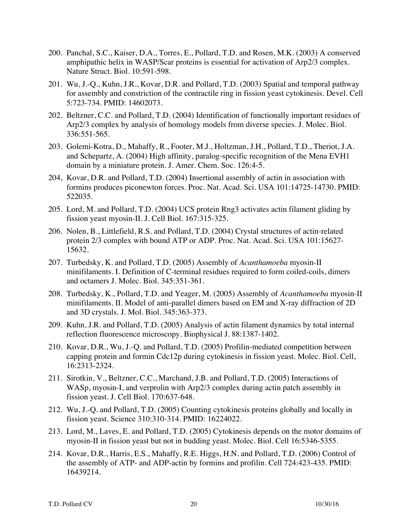- 200. Panchal, S.C., Kaiser, D.A., Torres, E., Pollard, T.D. and Rosen, M.K. (2003) A conserved amphipathic helix in WASP/Scar proteins is essential for activation of Arp2/3 complex. Nature Struct. Biol. 10:591-598.
- 201. Wu, J.-Q., Kuhn, J.R., Kovar, D.R. and Pollard, T.D. (2003) Spatial and temporal pathway for assembly and constriction of the contractile ring in fission yeast cytokinesis. Devel. Cell 5:723-734. PMID: 14602073.
- 202. Beltzner, C.C. and Pollard, T.D. (2004) Identification of functionally important residues of Arp2/3 complex by analysis of homology models from diverse species. J. Molec. Biol. 336:551-565.
- 203. Golemi-Kotra, D., Mahaffy, R., Footer, M.J., Holtzman, J.H., Pollard, T.D., Theriot, J.A. and Schepartz, A. (2004) High affinity, paralog-specific recognition of the Mena EVH1 domain by a miniature protein. J. Amer. Chem. Soc. 126:4-5.
- 204, Kovar, D.R. and Pollard, T.D. (2004) Insertional assembly of actin in association with formins produces piconewton forces. Proc. Nat. Acad. Sci. USA 101:14725-14730. PMID: 522035.
- 205. Lord, M. and Pollard, T.D. (2004) UCS protein Rng3 activates actin filament gliding by fission yeast myosin-II. J. Cell Biol. 167:315-325.
- 206. Nolen, B., Littlefield, R.S. and Pollard, T.D. (2004) Crystal structures of actin-related protein 2/3 complex with bound ATP or ADP. Proc. Nat. Acad. Sci. USA 101:15627- 15632.
- 207. Turbedsky, K. and Pollard, T.D. (2005) Assembly of *Acanthamoeba* myosin-II minifilaments. I. Definition of C-terminal residues required to form coiled-coils, dimers and octamers J. Molec. Biol. 345:351-361.
- 208. Turbedsky, K., Pollard, T.D. and Yeager, M. (2005) Assembly of *Acanthamoeba* myosin-II minifilaments. II. Model of anti-parallel dimers based on EM and X-ray diffraction of 2D and 3D crystals. J. Mol. Biol. 345:363-373.
- 209. Kuhn, J.R. and Pollard, T.D. (2005) Analysis of actin filament dynamics by total internal reflection fluorescence microscopy. Biophysical J. 88:1387-1402.
- 210. Kovar, D.R., Wu, J.-Q. and Pollard, T.D. (2005) Profilin-mediated competition between capping protein and formin Cdc12p during cytokinesis in fission yeast. Molec. Biol. Cell, 16:2313-2324.
- 211. Sirotkin, V., Beltzner, C.C., Marchand, J.B. and Pollard, T.D. (2005) Interactions of WASp, myosin-I, and verprolin with Arp2/3 complex during actin patch assembly in fission yeast. J. Cell Biol. 170:637-648.
- 212. Wu, J.-Q. and Pollard, T.D. (2005) Counting cytokinesis proteins globally and locally in fission yeast. Science 310:310-314. PMID: 16224022.
- 213. Lord, M., Laves, E. and Pollard, T.D. (2005) Cytokinesis depends on the motor domains of myosin-II in fission yeast but not in budding yeast. Molec. Biol. Cell 16:5346-5355.
- 214. Kovar, D.R., Harris, E.S., Mahaffy, R.E. Higgs, H.N. and Pollard, T.D. (2006) Control of the assembly of ATP- and ADP-actin by formins and profilin. Cell 724:423-435. PMID: 16439214.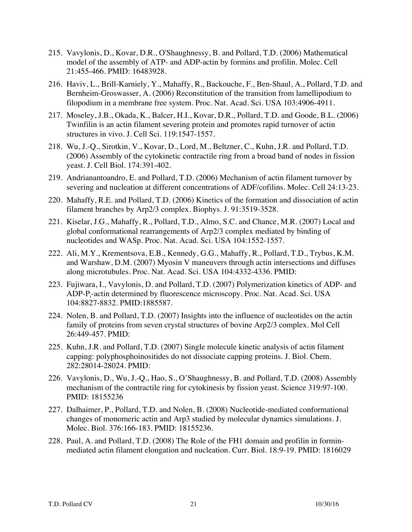- 215. Vavylonis, D., Kovar, D.R., O'Shaughnessy, B. and Pollard, T.D. (2006) Mathematical model of the assembly of ATP- and ADP-actin by formins and profilin. Molec. Cell 21:455-466. PMID: 16483928.
- 216. Haviv, L., Brill-Karniely, Y., Mahaffy, R., Backouche, F., Ben-Shaul, A., Pollard, T.D. and Bernheim-Groswasser, A. (2006) Reconstitution of the transition from lamellipodium to filopodium in a membrane free system. Proc. Nat. Acad. Sci. USA 103:4906-4911.
- 217. Moseley, J.B., Okada, K., Balcer, H.I., Kovar, D.R., Pollard, T.D. and Goode, B.L. (2006) Twinfilin is an actin filament severing protein and promotes rapid turnover of actin structures in vivo. J. Cell Sci. 119:1547-1557.
- 218. Wu, J.-Q., Sirotkin, V., Kovar, D., Lord, M., Beltzner, C., Kuhn, J.R. and Pollard, T.D. (2006) Assembly of the cytokinetic contractile ring from a broad band of nodes in fission yeast. J. Cell Biol. 174:391-402.
- 219. Andrianantoandro, E. and Pollard, T.D. (2006) Mechanism of actin filament turnover by severing and nucleation at different concentrations of ADF/cofilins. Molec. Cell 24:13-23.
- 220. Mahaffy, R.E. and Pollard, T.D. (2006) Kinetics of the formation and dissociation of actin filament branches by Arp2/3 complex. Biophys. J. 91:3519-3528.
- 221. Kiselar, J.G., Mahaffy, R., Pollard, T.D., Almo, S.C. and Chance, M.R. (2007) Local and global conformational rearrangements of Arp2/3 complex mediated by binding of nucleotides and WASp. Proc. Nat. Acad. Sci. USA 104:1552-1557.
- 222. Ali, M.Y., Krementsova, E.B., Kennedy, G.G., Mahaffy, R., Pollard, T.D., Trybus, K.M. and Warshaw, D.M. (2007) Myosin V maneuvers through actin intersections and diffuses along microtubules. Proc. Nat. Acad. Sci. USA 104:4332-4336. PMID:
- 223. Fujiwara, I., Vavylonis, D. and Pollard, T.D. (2007) Polymerization kinetics of ADP- and ADP-P<sub>i</sub>-actin determined by fluorescence microscopy. Proc. Nat. Acad. Sci. USA 104:8827-8832. PMID:1885587.
- 224. Nolen, B. and Pollard, T.D. (2007) Insights into the influence of nucleotides on the actin family of proteins from seven crystal structures of bovine Arp2/3 complex. Mol Cell 26:449-457. PMID:
- 225. Kuhn, J.R. and Pollard, T.D. (2007) Single molecule kinetic analysis of actin filament capping: polyphosphoinositides do not dissociate capping proteins. J. Biol. Chem. 282:28014-28024. PMID:
- 226. Vavylonis, D., Wu, J.-Q., Hao, S., O'Shaughnessy, B. and Pollard, T.D. (2008) Assembly mechanism of the contractile ring for cytokinesis by fission yeast. Science 319:97-100. PMID: 18155236
- 227. Dalhaimer, P., Pollard, T.D. and Nolen, B. (2008) Nucleotide-mediated conformational changes of monomeric actin and Arp3 studied by molecular dynamics simulations. J. Molec. Biol. 376:166-183. PMID: 18155236.
- 228. Paul, A. and Pollard, T.D. (2008) The Role of the FH1 domain and profilin in forminmediated actin filament elongation and nucleation. Curr. Biol. 18:9-19. PMID: 1816029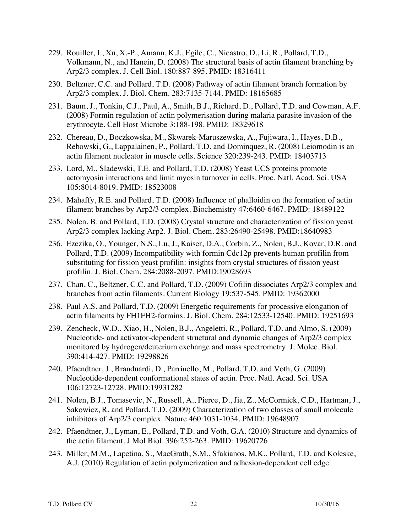- 229. Rouiller, I., Xu, X.-P., Amann, K.J., Egile, C., Nicastro, D., Li, R., Pollard, T.D., Volkmann, N., and Hanein, D. (2008) The structural basis of actin filament branching by Arp2/3 complex. J. Cell Biol. 180:887-895. PMID: 18316411
- 230. Beltzner, C.C. and Pollard, T.D. (2008) Pathway of actin filament branch formation by Arp2/3 complex. J. Biol. Chem. 283:7135-7144. PMID: 18165685
- 231. Baum, J., Tonkin, C.J., Paul, A., Smith, B.J., Richard, D., Pollard, T.D. and Cowman, A.F. (2008) Formin regulation of actin polymerisation during malaria parasite invasion of the erythrocyte. Cell Host Microbe 3:188-198. PMID: 18329618
- 232. Chereau, D., Boczkowska, M., Skwarek-Maruszewska, A., Fujiwara, I., Hayes, D.B., Rebowski, G., Lappalainen, P., Pollard, T.D. and Dominquez, R. (2008) Leiomodin is an actin filament nucleator in muscle cells. Science 320:239-243. PMID: 18403713
- 233. Lord, M., Sladewski, T.E. and Pollard, T.D. (2008) Yeast UCS proteins promote actomyosin interactions and limit myosin turnover in cells. Proc. Natl. Acad. Sci. USA 105:8014-8019. PMID: 18523008
- 234. Mahaffy, R.E. and Pollard, T.D. (2008) Influence of phalloidin on the formation of actin filament branches by Arp2/3 complex. Biochemistry 47:6460-6467. PMID: 18489122
- 235. Nolen, B. and Pollard, T.D. (2008) Crystal structure and characterization of fission yeast Arp2/3 complex lacking Arp2. J. Biol. Chem. 283:26490-25498. PMID:18640983
- 236. Ezezika, O., Younger, N.S., Lu, J., Kaiser, D.A., Corbin, Z., Nolen, B.J., Kovar, D.R. and Pollard, T.D. (2009) Incompatibility with formin Cdc12p prevents human profilin from substituting for fission yeast profilin: insights from crystal structures of fission yeast profilin. J. Biol. Chem. 284:2088-2097. PMID:19028693
- 237. Chan, C., Beltzner, C.C. and Pollard, T.D. (2009) Cofilin dissociates Arp2/3 complex and branches from actin filaments. Current Biology 19:537-545. PMID: 19362000
- 238. Paul A.S. and Pollard, T.D. (2009) Energetic requirements for processive elongation of actin filaments by FH1FH2-formins. J. Biol. Chem. 284:12533-12540. PMID: 19251693
- 239. Zencheck, W.D., Xiao, H., Nolen, B.J., Angeletti, R., Pollard, T.D. and Almo, S. (2009) Nucleotide- and activator-dependent structural and dynamic changes of Arp2/3 complex monitored by hydrogen/deuterium exchange and mass spectrometry. J. Molec. Biol. 390:414-427. PMID: 19298826
- 240. Pfaendtner, J., Branduardi, D., Parrinello, M., Pollard, T.D. and Voth, G. (2009) Nucleotide-dependent conformational states of actin. Proc. Natl. Acad. Sci. USA 106:12723-12728. PMID:19931282
- 241. Nolen, B.J., Tomasevic, N., Russell, A., Pierce, D., Jia, Z., McCormick, C.D., Hartman, J., Sakowicz, R. and Pollard, T.D. (2009) Characterization of two classes of small molecule inhibitors of Arp2/3 complex. Nature 460:1031-1034. PMID: 19648907
- 242. Pfaendtner, J., Lyman, E., Pollard, T.D. and Voth, G.A. (2010) Structure and dynamics of the actin filament. J Mol Biol. 396:252-263. PMID: 19620726
- 243. Miller, M.M., Lapetina, S., MacGrath, S.M., Sfakianos, M.K., Pollard, T.D. and Koleske, A.J. (2010) Regulation of actin polymerization and adhesion-dependent cell edge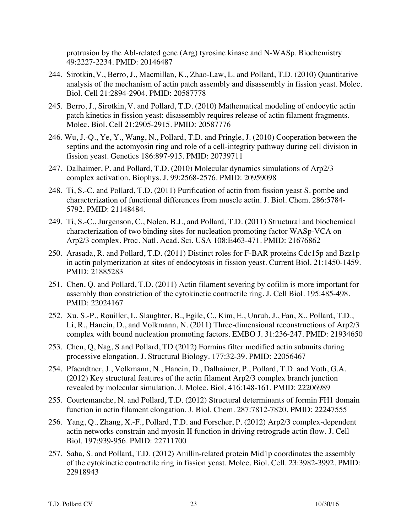protrusion by the Abl-related gene (Arg) tyrosine kinase and N-WASp. Biochemistry 49:2227-2234. PMID: 20146487

- 244. Sirotkin, V., Berro, J., Macmillan, K., Zhao-Law, L. and Pollard, T.D. (2010) Quantitative analysis of the mechanism of actin patch assembly and disassembly in fission yeast. Molec. Biol. Cell 21:2894-2904. PMID: 20587778
- 245. Berro, J., Sirotkin, V. and Pollard, T.D. (2010) Mathematical modeling of endocytic actin patch kinetics in fission yeast: disassembly requires release of actin filament fragments. Molec. Biol. Cell 21:2905-2915. PMID: 20587776
- 246. Wu, J.-Q., Ye, Y., Wang, N., Pollard, T.D. and Pringle, J. (2010) Cooperation between the septins and the actomyosin ring and role of a cell-integrity pathway during cell division in fission yeast. Genetics 186:897-915. PMID: 20739711
- 247. Dalhaimer, P. and Pollard, T.D. (2010) Molecular dynamics simulations of Arp2/3 complex activation. Biophys. J. 99:2568-2576. PMID: 20959098
- 248. Ti, S.-C. and Pollard, T.D. (2011) Purification of actin from fission yeast S. pombe and characterization of functional differences from muscle actin. J. Biol. Chem. 286:5784- 5792. PMID: 21148484.
- 249. Ti, S.-C., Jurgenson, C., Nolen, B.J., and Pollard, T.D. (2011) Structural and biochemical characterization of two binding sites for nucleation promoting factor WASp-VCA on Arp2/3 complex. Proc. Natl. Acad. Sci. USA 108:E463-471. PMID: 21676862
- 250. Arasada, R. and Pollard, T.D. (2011) Distinct roles for F-BAR proteins Cdc15p and Bzz1p in actin polymerization at sites of endocytosis in fission yeast. Current Biol. 21:1450-1459. PMID: 21885283
- 251. Chen, Q. and Pollard, T.D. (2011) Actin filament severing by cofilin is more important for assembly than constriction of the cytokinetic contractile ring. J. Cell Biol. 195:485-498. PMID: 22024167
- 252. Xu, S.-P., Rouiller, I., Slaughter, B., Egile, C., Kim, E., Unruh, J., Fan, X., Pollard, T.D., Li, R., Hanein, D., and Volkmann, N. (2011) Three-dimensional reconstructions of Arp2/3 complex with bound nucleation promoting factors. EMBO J. 31:236-247. PMID: 21934650
- 253. Chen, Q, Nag, S and Pollard, TD (2012) Formins filter modified actin subunits during processive elongation. J. Structural Biology. 177:32-39. PMID: 22056467
- 254. Pfaendtner, J., Volkmann, N., Hanein, D., Dalhaimer, P., Pollard, T.D. and Voth, G.A. (2012) Key structural features of the actin filament Arp2/3 complex branch junction revealed by molecular simulation. J. Molec. Biol. 416:148-161. PMID: 22206989
- 255. Courtemanche, N. and Pollard, T.D. (2012) Structural determinants of formin FH1 domain function in actin filament elongation. J. Biol. Chem. 287:7812-7820. PMID: 22247555
- 256. Yang, Q., Zhang, X.-F., Pollard, T.D. and Forscher, P. (2012) Arp2/3 complex-dependent actin networks constrain and myosin II function in driving retrograde actin flow. J. Cell Biol. 197:939-956. PMID: 22711700
- 257. Saha, S. and Pollard, T.D. (2012) Anillin-related protein Mid1p coordinates the assembly of the cytokinetic contractile ring in fission yeast. Molec. Biol. Cell. 23:3982-3992. PMID: 22918943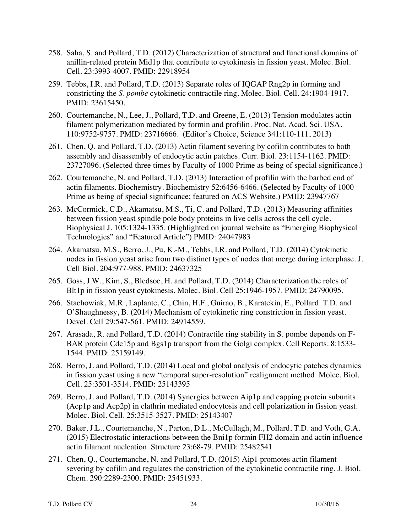- 258. Saha, S. and Pollard, T.D. (2012) Characterization of structural and functional domains of anillin-related protein Mid1p that contribute to cytokinesis in fission yeast. Molec. Biol. Cell. 23:3993-4007. PMID: 22918954
- 259. Tebbs, I.R. and Pollard, T.D. (2013) Separate roles of IQGAP Rng2p in forming and constricting the *S. pombe* cytokinetic contractile ring*.* Molec. Biol. Cell. 24:1904-1917. PMID: 23615450.
- 260. Courtemanche, N., Lee, J., Pollard, T.D. and Greene, E. (2013) Tension modulates actin filament polymerization mediated by formin and profilin. Proc. Nat. Acad. Sci. USA. 110:9752-9757. PMID: 23716666. (Editor's Choice, Science 341:110-111, 2013)
- 261. Chen, Q. and Pollard, T.D. (2013) Actin filament severing by cofilin contributes to both assembly and disassembly of endocytic actin patches. Curr. Biol. 23:1154-1162. PMID: 23727096. (Selected three times by Faculty of 1000 Prime as being of special significance.)
- 262. Courtemanche, N. and Pollard, T.D. (2013) Interaction of profilin with the barbed end of actin filaments. Biochemistry. Biochemistry 52:6456-6466. (Selected by Faculty of 1000 Prime as being of special significance; featured on ACS Website.) PMID: 23947767
- 263. McCormick, C.D., Akamatsu, M.S., Ti, C. and Pollard, T.D. (2013) Measuring affinities between fission yeast spindle pole body proteins in live cells across the cell cycle. Biophysical J. 105:1324-1335. (Highlighted on journal website as "Emerging Biophysical Technologies" and "Featured Article") PMID: 24047983
- 264. Akamatsu, M.S., Berro, J., Pu, K.-M., Tebbs, I.R. and Pollard, T.D. (2014) Cytokinetic nodes in fission yeast arise from two distinct types of nodes that merge during interphase. J. Cell Biol. 204:977-988. PMID: 24637325
- 265. Goss, J.W., Kim, S., Bledsoe, H. and Pollard, T.D. (2014) Characterization the roles of Blt1p in fission yeast cytokinesis. Molec. Biol. Cell 25:1946-1957. PMID: 24790095.
- 266. Stachowiak, M.R., Laplante, C., Chin, H.F., Guirao, B., Karatekin, E., Pollard. T.D. and O'Shaughnessy, B. (2014) Mechanism of cytokinetic ring constriction in fission yeast. Devel. Cell 29:547-561. PMID: 24914559.
- 267. Arasada, R. and Pollard, T.D. (2014) Contractile ring stability in S. pombe depends on F-BAR protein Cdc15p and Bgs1p transport from the Golgi complex. Cell Reports. 8:1533- 1544. PMID: 25159149.
- 268. Berro, J. and Pollard, T.D. (2014) Local and global analysis of endocytic patches dynamics in fission yeast using a new "temporal super-resolution" realignment method. Molec. Biol. Cell. 25:3501-3514. PMID: 25143395
- 269. Berro, J. and Pollard, T.D. (2014) Synergies between Aip1p and capping protein subunits (Acp1p and Acp2p) in clathrin mediated endocytosis and cell polarization in fission yeast. Molec. Biol. Cell. 25:3515-3527. PMID: 25143407
- 270. Baker, J.L., Courtemanche, N., Parton, D.L., McCullagh, M., Pollard, T.D. and Voth, G.A. (2015) Electrostatic interactions between the Bni1p formin FH2 domain and actin influence actin filament nucleation. Structure 23:68-79. PMID: 25482541
- 271. Chen, Q., Courtemanche, N. and Pollard, T.D. (2015) Aip1 promotes actin filament severing by cofilin and regulates the constriction of the cytokinetic contractile ring. J. Biol. Chem. 290:2289-2300. PMID: 25451933.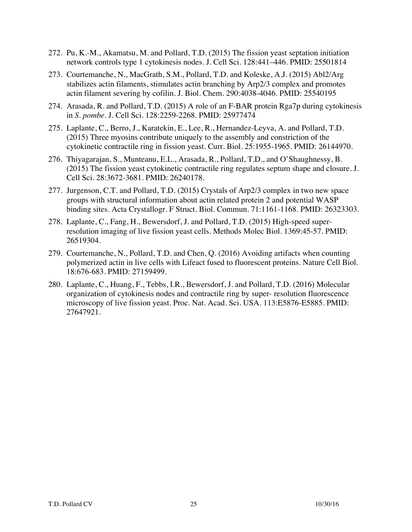- 272. Pu, K.-M., Akamatsu, M. and Pollard, T.D. (2015) The fission yeast septation initiation network controls type 1 cytokinesis nodes. J. Cell Sci. 128:441–446. PMID: 25501814
- 273. Courtemanche, N., MacGrath, S.M., Pollard, T.D. and Koleske, A.J. (2015) Abl2/Arg stabilizes actin filaments, stimulates actin branching by Arp2/3 complex and promotes actin filament severing by cofilin. J. Biol. Chem. 290:4038-4046. PMID: 25540195
- 274. Arasada, R. and Pollard, T.D. (2015) A role of an F-BAR protein Rga7p during cytokinesis in *S. pombe.* J. Cell Sci. 128:2259-2268. PMID: 25977474
- 275. Laplante, C., Berro, J., Karatekin, E., Lee, R., Hernandez-Leyva, A. and Pollard, T.D. (2015) Three myosins contribute uniquely to the assembly and constriction of the cytokinetic contractile ring in fission yeast. Curr. Biol. 25:1955-1965. PMID: 26144970.
- 276. Thiyagarajan, S., Munteanu, E.L., Arasada, R., Pollard, T.D., and O'Shaughnessy, B. (2015) The fission yeast cytokinetic contractile ring regulates septum shape and closure. J. Cell Sci. 28:3672-3681. PMID: 26240178.
- 277. Jurgenson, C.T. and Pollard, T.D. (2015) Crystals of Arp2/3 complex in two new space groups with structural information about actin related protein 2 and potential WASP binding sites. Acta Crystallogr. F Struct. Biol. Commun. 71:1161-1168. PMID: 26323303.
- 278. Laplante, C., Fang, H., Bewersdorf, J. and Pollard, T.D. (2015) High-speed superresolution imaging of live fission yeast cells. Methods Molec Biol. 1369:45-57. PMID: 26519304.
- 279. Courtemanche, N., Pollard, T.D. and Chen, Q. (2016) Avoiding artifacts when counting polymerized actin in live cells with Lifeact fused to fluorescent proteins. Nature Cell Biol. 18:676-683. PMID: 27159499.
- 280. Laplante, C., Huang, F., Tebbs, I.R., Bewersdorf, J. and Pollard, T.D. (2016) Molecular organization of cytokinesis nodes and contractile ring by super- resolution fluorescence microscopy of live fission yeast. Proc. Nat. Acad. Sci. USA. 113:E5876-E5885. PMID: 27647921.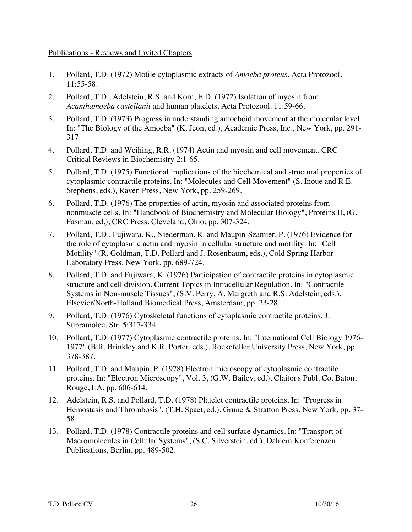## Publications - Reviews and Invited Chapters

- 1. Pollard, T.D. (1972) Motile cytoplasmic extracts of *Amoeba proteus*. Acta Protozool. 11:55-58.
- 2. Pollard, T.D., Adelstein, R.S. and Korn, E.D. (1972) Isolation of myosin from *Acanthamoeba castellanii* and human platelets. Acta Protozool. 11:59-66.
- 3. Pollard, T.D. (1973) Progress in understanding amoeboid movement at the molecular level. In: "The Biology of the Amoeba" (K. Jeon, ed.), Academic Press, Inc., New York, pp. 291- 317.
- 4. Pollard, T.D. and Weihing, R.R. (1974) Actin and myosin and cell movement. CRC Critical Reviews in Biochemistry 2:1-65.
- 5. Pollard, T.D. (1975) Functional implications of the biochemical and structural properties of cytoplasmic contractile proteins. In: "Molecules and Cell Movement" (S. Inoue and R.E. Stephens, eds.), Raven Press, New York, pp. 259-269.
- 6. Pollard, T.D. (1976) The properties of actin, myosin and associated proteins from nonmuscle cells. In: "Handbook of Biochemistry and Molecular Biology", Proteins II, (G. Fasman, ed.), CRC Press, Cleveland, Ohio; pp. 307-324.
- 7. Pollard, T.D., Fujiwara, K., Niederman, R. and Maupin-Szamier, P. (1976) Evidence for the role of cytoplasmic actin and myosin in cellular structure and motility. In: "Cell Motility" (R. Goldman, T.D. Pollard and J. Rosenbaum, eds.), Cold Spring Harbor Laboratory Press, New York, pp. 689-724.
- 8. Pollard, T.D. and Fujiwara, K. (1976) Participation of contractile proteins in cytoplasmic structure and cell division. Current Topics in Intracellular Regulation. In: "Contractile Systems in Non-muscle Tissues", (S.V. Perry, A. Margreth and R.S. Adelstein, eds.), Elsevier/North-Holland Biomedical Press, Amsterdam, pp. 23-28.
- 9. Pollard, T.D. (1976) Cytoskeletal functions of cytoplasmic contractile proteins. J. Supramolec. Str. 5:317-334.
- 10. Pollard, T.D. (1977) Cytoplasmic contractile proteins. In: "International Cell Biology 1976- 1977" (B.R. Brinkley and K.R. Porter, eds.), Rockefeller University Press, New York, pp. 378-387.
- 11. Pollard, T.D. and Maupin, P. (1978) Electron microscopy of cytoplasmic contractile proteins. In: "Electron Microscopy", Vol. 3, (G.W. Bailey, ed.), Claitor's Publ. Co. Baton, Rouge, LA, pp. 606-614.
- 12. Adelstein, R.S. and Pollard, T.D. (1978) Platelet contractile proteins. In: "Progress in Hemostasis and Thrombosis", (T.H. Spaet, ed.), Grune & Stratton Press, New York, pp. 37- 58.
- 13. Pollard, T.D. (1978) Contractile proteins and cell surface dynamics. In: "Transport of Macromolecules in Cellular Systems", (S.C. Silverstein, ed.), Dahlem Konferenzen Publications, Berlin, pp. 489-502.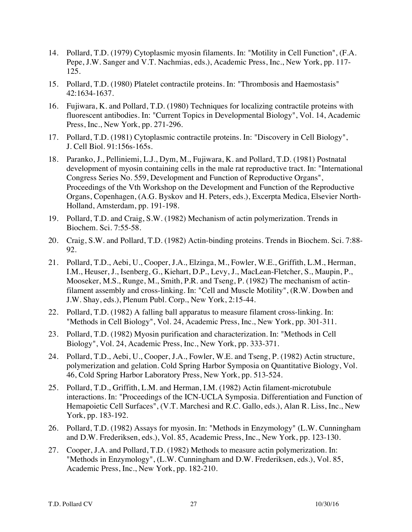- 14. Pollard, T.D. (1979) Cytoplasmic myosin filaments. In: "Motility in Cell Function", (F.A. Pepe, J.W. Sanger and V.T. Nachmias, eds.), Academic Press, Inc., New York, pp. 117- 125.
- 15. Pollard, T.D. (1980) Platelet contractile proteins. In: "Thrombosis and Haemostasis" 42:1634-1637.
- 16. Fujiwara, K. and Pollard, T.D. (1980) Techniques for localizing contractile proteins with fluorescent antibodies. In: "Current Topics in Developmental Biology", Vol. 14, Academic Press, Inc., New York, pp. 271-296.
- 17. Pollard, T.D. (1981) Cytoplasmic contractile proteins. In: "Discovery in Cell Biology", J. Cell Biol. 91:156s-165s.
- 18. Paranko, J., Pelliniemi, L.J., Dym, M., Fujiwara, K. and Pollard, T.D. (1981) Postnatal development of myosin containing cells in the male rat reproductive tract. In: "International Congress Series No. 559, Development and Function of Reproductive Organs", Proceedings of the Vth Workshop on the Development and Function of the Reproductive Organs, Copenhagen, (A.G. Byskov and H. Peters, eds.), Excerpta Medica, Elsevier North-Holland, Amsterdam, pp. 191-198.
- 19. Pollard, T.D. and Craig, S.W. (1982) Mechanism of actin polymerization. Trends in Biochem. Sci. 7:55-58.
- 20. Craig, S.W. and Pollard, T.D. (1982) Actin-binding proteins. Trends in Biochem. Sci. 7:88- 92.
- 21. Pollard, T.D., Aebi, U., Cooper, J.A., Elzinga, M., Fowler, W.E., Griffith, L.M., Herman, I.M., Heuser, J., Isenberg, G., Kiehart, D.P., Levy, J., MacLean-Fletcher, S., Maupin, P., Mooseker, M.S., Runge, M., Smith, P.R. and Tseng, P. (1982) The mechanism of actinfilament assembly and cross-linking. In: "Cell and Muscle Motility", (R.W. Dowben and J.W. Shay, eds.), Plenum Publ. Corp., New York, 2:15-44.
- 22. Pollard, T.D. (1982) A falling ball apparatus to measure filament cross-linking. In: "Methods in Cell Biology", Vol. 24, Academic Press, Inc., New York, pp. 301-311.
- 23. Pollard, T.D. (1982) Myosin purification and characterization. In: "Methods in Cell Biology", Vol. 24, Academic Press, Inc., New York, pp. 333-371.
- 24. Pollard, T.D., Aebi, U., Cooper, J.A., Fowler, W.E. and Tseng, P. (1982) Actin structure, polymerization and gelation. Cold Spring Harbor Symposia on Quantitative Biology, Vol. 46, Cold Spring Harbor Laboratory Press, New York, pp. 513-524.
- 25. Pollard, T.D., Griffith, L.M. and Herman, I.M. (1982) Actin filament-microtubule interactions. In: "Proceedings of the ICN-UCLA Symposia. Differentiation and Function of Hemapoietic Cell Surfaces", (V.T. Marchesi and R.C. Gallo, eds.), Alan R. Liss, Inc., New York, pp. 183-192.
- 26. Pollard, T.D. (1982) Assays for myosin. In: "Methods in Enzymology" (L.W. Cunningham and D.W. Frederiksen, eds.), Vol. 85, Academic Press, Inc., New York, pp. 123-130.
- 27. Cooper, J.A. and Pollard, T.D. (1982) Methods to measure actin polymerization. In: "Methods in Enzymology", (L.W. Cunningham and D.W. Frederiksen, eds.), Vol. 85, Academic Press, Inc., New York, pp. 182-210.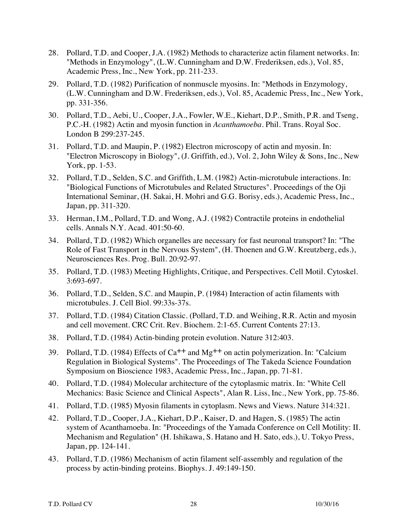- 28. Pollard, T.D. and Cooper, J.A. (1982) Methods to characterize actin filament networks. In: "Methods in Enzymology", (L.W. Cunningham and D.W. Frederiksen, eds.), Vol. 85, Academic Press, Inc., New York, pp. 211-233.
- 29. Pollard, T.D. (1982) Purification of nonmuscle myosins. In: "Methods in Enzymology, (L.W. Cunningham and D.W. Frederiksen, eds.), Vol. 85, Academic Press, Inc., New York, pp. 331-356.
- 30. Pollard, T.D., Aebi, U., Cooper, J.A., Fowler, W.E., Kiehart, D.P., Smith, P.R. and Tseng, P.C.-H. (1982) Actin and myosin function in *Acanthamoeba*. Phil. Trans. Royal Soc. London B 299:237-245.
- 31. Pollard, T.D. and Maupin, P. (1982) Electron microscopy of actin and myosin. In: "Electron Microscopy in Biology", (J. Griffith, ed.), Vol. 2, John Wiley & Sons, Inc., New York, pp. 1-53.
- 32. Pollard, T.D., Selden, S.C. and Griffith, L.M. (1982) Actin-microtubule interactions. In: "Biological Functions of Microtubules and Related Structures". Proceedings of the Oji International Seminar, (H. Sakai, H. Mohri and G.G. Borisy, eds.), Academic Press, Inc., Japan, pp. 311-320.
- 33. Herman, I.M., Pollard, T.D. and Wong, A.J. (1982) Contractile proteins in endothelial cells. Annals N.Y. Acad. 401:50-60.
- 34. Pollard, T.D. (1982) Which organelles are necessary for fast neuronal transport? In: "The Role of Fast Transport in the Nervous System", (H. Thoenen and G.W. Kreutzberg, eds.), Neurosciences Res. Prog. Bull. 20:92-97.
- 35. Pollard, T.D. (1983) Meeting Highlights, Critique, and Perspectives. Cell Motil. Cytoskel. 3:693-697.
- 36. Pollard, T.D., Selden, S.C. and Maupin, P. (1984) Interaction of actin filaments with microtubules. J. Cell Biol. 99:33s-37s.
- 37. Pollard, T.D. (1984) Citation Classic. (Pollard, T.D. and Weihing, R.R. Actin and myosin and cell movement. CRC Crit. Rev. Biochem. 2:1-65. Current Contents 27:13.
- 38. Pollard, T.D. (1984) Actin-binding protein evolution. Nature 312:403.
- 39. Pollard, T.D. (1984) Effects of  $Ca^{++}$  and  $Mg^{++}$  on actin polymerization. In: "Calcium Regulation in Biological Systems". The Proceedings of The Takeda Science Foundation Symposium on Bioscience 1983, Academic Press, Inc., Japan, pp. 71-81.
- 40. Pollard, T.D. (1984) Molecular architecture of the cytoplasmic matrix. In: "White Cell Mechanics: Basic Science and Clinical Aspects", Alan R. Liss, Inc., New York, pp. 75-86.
- 41. Pollard, T.D. (1985) Myosin filaments in cytoplasm. News and Views. Nature 314:321.
- 42. Pollard, T.D., Cooper, J.A., Kiehart, D.P., Kaiser, D. and Hagen, S. (1985) The actin system of Acanthamoeba. In: "Proceedings of the Yamada Conference on Cell Motility: II. Mechanism and Regulation" (H. Ishikawa, S. Hatano and H. Sato, eds.), U. Tokyo Press, Japan, pp. 124-141.
- 43. Pollard, T.D. (1986) Mechanism of actin filament self-assembly and regulation of the process by actin-binding proteins. Biophys. J. 49:149-150.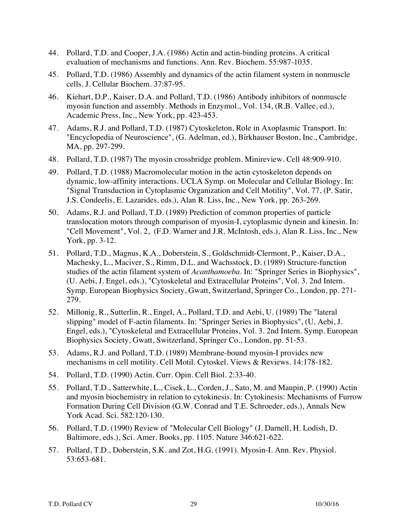- 44. Pollard, T.D. and Cooper, J.A. (1986) Actin and actin-binding proteins. A critical evaluation of mechanisms and functions. Ann. Rev. Biochem. 55:987-1035.
- 45. Pollard, T.D. (1986) Assembly and dynamics of the actin filament system in nonmuscle cells. J. Cellular Biochem. 37:87-95.
- 46. Kiehart, D.P., Kaiser, D.A. and Pollard, T.D. (1986) Antibody inhibitors of nonmuscle myosin function and assembly. Methods in Enzymol., Vol. 134, (R.B. Vallee, ed.), Academic Press, Inc., New York, pp. 423-453.
- 47. Adams, R.J. and Pollard, T.D. (1987) Cytoskeleton, Role in Axoplasmic Transport. In: "Encyclopedia of Neuroscience", (G. Adelman, ed.), Birkhauser Boston, Inc., Cambridge, MA, pp. 297-299.
- 48. Pollard, T.D. (1987) The myosin crossbridge problem. Minireview. Cell 48:909-910.
- 49. Pollard, T.D. (1988) Macromolecular motion in the actin cytoskeleton depends on dynamic, low-affinity interactions. UCLA Symp. on Molecular and Cellular Biology. In: "Signal Transduction in Cytoplasmic Organization and Cell Motility", Vol. 77, (P. Satir, J.S. Condeelis, E. Lazarides, eds.), Alan R. Liss, Inc., New York, pp. 263-269.
- 50. Adams, R.J. and Pollard, T.D. (1989) Prediction of common properties of particle translocation motors through comparison of myosin-I, cytoplasmic dynein and kinesin. In: "Cell Movement", Vol. 2, (F.D. Warner and J.R. McIntosh, eds.), Alan R. Liss, Inc., New York, pp. 3-12.
- 51. Pollard, T.D., Magnus, K.A., Doberstein, S., Goldschmidt-Clermont, P., Kaiser, D.A., Machesky, L., Maciver, S., Rimm, D.L. and Wachsstock, D. (1989) Structure-function studies of the actin filament system of *Acanthamoeba*. In: "Springer Series in Biophysics", (U. Aebi, J. Engel, eds.), "Cytoskeletal and Extracellular Proteins", Vol. 3. 2nd Intern. Symp. European Biophysics Society, Gwatt, Switzerland, Springer Co., London, pp. 271- 279.
- 52. Millonig, R., Sutterlin, R., Engel, A., Pollard, T.D. and Aebi, U. (1989) The "lateral slipping" model of F-actin filaments. In: "Springer Series in Biophysics", (U. Aebi, J. Engel, eds.), "Cytoskeletal and Extracellular Proteins, Vol. 3. 2nd Intern. Symp. European Biophysics Society, Gwatt, Switzerland, Springer Co., London, pp. 51-53.
- 53. Adams, R.J. and Pollard, T.D. (1989) Membrane-bound myosin-I provides new mechanisms in cell motility. Cell Motil. Cytoskel. Views & Reviews. 14:178-182.
- 54. Pollard, T.D. (1990) Actin. Curr. Opin. Cell Biol. 2:33-40.
- 55. Pollard, T.D., Satterwhite, L., Cisek, L., Corden, J., Sato, M. and Maupin, P. (1990) Actin and myosin biochemistry in relation to cytokinesis. In: Cytokinesis: Mechanisms of Furrow Formation During Cell Division (G.W. Conrad and T.E. Schroeder, eds.), Annals New York Acad. Sci. 582:120-130.
- 56. Pollard, T.D. (1990) Review of "Molecular Cell Biology" (J. Darnell, H. Lodish, D. Baltimore, eds.), Sci. Amer. Books, pp. 1105. Nature 346:621-622.
- 57. Pollard, T.D., Doberstein, S.K. and Zot, H.G. (1991). Myosin-I. Ann. Rev. Physiol. 53:653-681.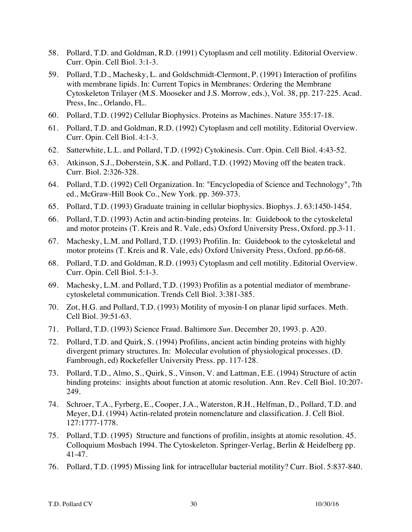- 58. Pollard, T.D. and Goldman, R.D. (1991) Cytoplasm and cell motility. Editorial Overview. Curr. Opin. Cell Biol. 3:1-3.
- 59. Pollard, T.D., Machesky, L. and Goldschmidt-Clermont, P. (1991) Interaction of profilins with membrane lipids. In: Current Topics in Membranes: Ordering the Membrane Cytoskeleton Trilayer (M.S. Mooseker and J.S. Morrow, eds.), Vol. 38, pp. 217-225. Acad. Press, Inc., Orlando, FL.
- 60. Pollard, T.D. (1992) Cellular Biophysics. Proteins as Machines. Nature 355:17-18.
- 61. Pollard, T.D. and Goldman, R.D. (1992) Cytoplasm and cell motility. Editorial Overview. Curr. Opin. Cell Biol. 4:1-3.
- 62. Satterwhite, L.L. and Pollard, T.D. (1992) Cytokinesis. Curr. Opin. Cell Biol. 4:43-52.
- 63. Atkinson, S.J., Doberstein, S.K. and Pollard, T.D. (1992) Moving off the beaten track. Curr. Biol. 2:326-328.
- 64. Pollard, T.D. (1992) Cell Organization. In: "Encyclopedia of Science and Technology", 7th ed., McGraw-Hill Book Co., New York. pp. 369-373.
- 65. Pollard, T.D. (1993) Graduate training in cellular biophysics. Biophys. J. 63:1450-1454.
- 66. Pollard, T.D. (1993) Actin and actin-binding proteins. In: Guidebook to the cytoskeletal and motor proteins (T. Kreis and R. Vale, eds) Oxford University Press, Oxford. pp.3-11.
- 67. Machesky, L.M. and Pollard, T.D. (1993) Profilin. In: Guidebook to the cytoskeletal and motor proteins (T. Kreis and R. Vale, eds) Oxford University Press, Oxford. pp.66-68.
- 68. Pollard, T.D. and Goldman, R.D. (1993) Cytoplasm and cell motility. Editorial Overview. Curr. Opin. Cell Biol. 5:1-3.
- 69. Machesky, L.M. and Pollard, T.D. (1993) Profilin as a potential mediator of membranecytoskeletal communication. Trends Cell Biol. 3:381-385.
- 70. Zot, H.G. and Pollard, T.D. (1993) Motility of myosin-I on planar lipid surfaces. Meth. Cell Biol. 39:51-63.
- 71. Pollard, T.D. (1993) Science Fraud. Baltimore *Sun*. December 20, 1993. p. A20.
- 72. Pollard, T.D. and Quirk, S. (1994) Profilins, ancient actin binding proteins with highly divergent primary structures. In: Molecular evolution of physiological processes. (D. Fambrough, ed) Rockefeller University Press. pp. 117-128.
- 73. Pollard, T.D., Almo, S., Quirk, S., Vinson, V. and Lattman, E.E. (1994) Structure of actin binding proteins: insights about function at atomic resolution. Ann. Rev. Cell Biol. 10:207- 249.
- 74. Schroer, T.A., Fyrberg, E., Cooper, J.A., Waterston, R.H., Helfman, D., Pollard, T.D. and Meyer, D.I. (1994) Actin-related protein nomenclature and classification. J. Cell Biol. 127:1777-1778.
- 75. Pollard, T.D. (1995) Structure and functions of profilin, insights at atomic resolution. 45. Colloquium Mosbach 1994. The Cytoskeleton. Springer-Verlag, Berlin & Heidelberg pp. 41-47.
- 76. Pollard, T.D. (1995) Missing link for intracellular bacterial motility? Curr. Biol. 5:837-840.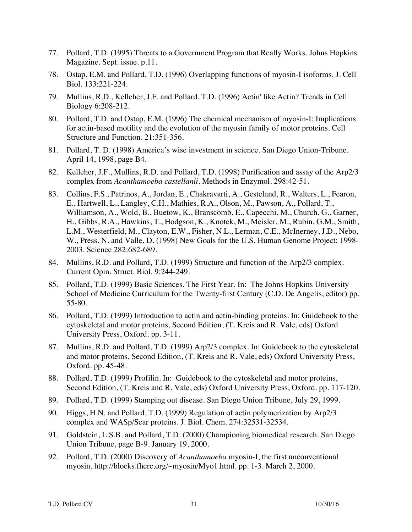- 77. Pollard, T.D. (1995) Threats to a Government Program that Really Works. Johns Hopkins Magazine. Sept. issue. p.11.
- 78. Ostap, E.M. and Pollard, T.D. (1996) Overlapping functions of myosin-I isoforms. J. Cell Biol. 133:221-224.
- 79. Mullins, R.D., Kelleher, J.F. and Pollard, T.D. (1996) Actin' like Actin? Trends in Cell Biology 6:208-212.
- 80. Pollard, T.D. and Ostap, E.M. (1996) The chemical mechanism of myosin-I: Implications for actin-based motility and the evolution of the myosin family of motor proteins. Cell Structure and Function. 21:351-356.
- 81. Pollard, T. D. (1998) America's wise investment in science. San Diego Union-Tribune. April 14, 1998, page B4.
- 82. Kelleher, J.F., Mullins, R.D. and Pollard, T.D. (1998) Purification and assay of the Arp2/3 complex from *Acanthamoeba castellanii*. Methods in Enzymol. 298:42-51.
- 83. Collins, F.S., Patrinos, A., Jordan, E., Chakravarti, A., Gesteland, R., Walters, L., Fearon, E., Hartwell, L., Langley, C.H., Mathies, R.A., Olson, M., Pawson, A., Pollard, T., Williamson, A., Wold, B., Buetow, K., Branscomb, E., Capecchi, M., Church, G., Garner, H., Gibbs, R.A., Hawkins, T., Hodgson, K., Knotek, M., Meisler, M., Rubin, G.M., Smith, L.M., Westerfield, M., Clayton, E.W., Fisher, N.L., Lerman, C.E., McInerney, J.D., Nebo, W., Press, N. and Valle, D. (1998) New Goals for the U.S. Human Genome Project: 1998- 2003. Science 282:682-689.
- 84. Mullins, R.D. and Pollard, T.D. (1999) Structure and function of the Arp2/3 complex. Current Opin. Struct. Biol. 9:244-249.
- 85. Pollard, T.D. (1999) Basic Sciences, The First Year. In: The Johns Hopkins University School of Medicine Curriculum for the Twenty-first Century (C.D. De Angelis, editor) pp. 55-80.
- 86. Pollard, T.D. (1999) Introduction to actin and actin-binding proteins. In: Guidebook to the cytoskeletal and motor proteins, Second Edition, (T. Kreis and R. Vale, eds) Oxford University Press, Oxford. pp. 3-11.
- 87. Mullins, R.D. and Pollard, T.D. (1999) Arp2/3 complex. In: Guidebook to the cytoskeletal and motor proteins, Second Edition, (T. Kreis and R. Vale, eds) Oxford University Press, Oxford. pp. 45-48.
- 88. Pollard, T.D. (1999) Profilin. In: Guidebook to the cytoskeletal and motor proteins, Second Edition, (T. Kreis and R. Vale, eds) Oxford University Press, Oxford. pp. 117-120.
- 89. Pollard, T.D. (1999) Stamping out disease. San Diego Union Tribune, July 29, 1999.
- 90. Higgs, H.N. and Pollard, T.D. (1999) Regulation of actin polymerization by Arp2/3 complex and WASp/Scar proteins. J. Biol. Chem. 274:32531-32534.
- 91. Goldstein, L.S.B. and Pollard, T.D. (2000) Championing biomedical research. San Diego Union Tribune, page B-9. January 19, 2000.
- 92. Pollard, T.D. (2000) Discovery of *Acanthamoeba* myosin-I, the first unconventional myosin. http://blocks.fhcrc.org/~myosin/Myo1.html. pp. 1-3. March 2, 2000.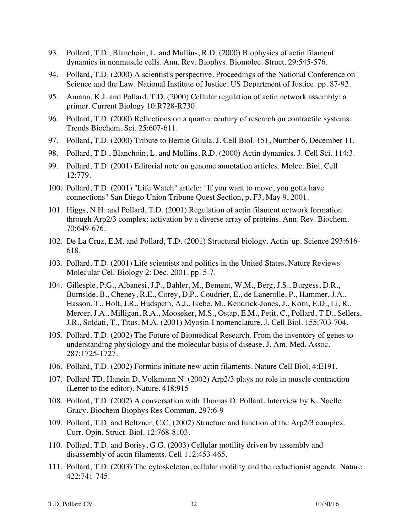- 93. Pollard, T.D., Blanchoin, L. and Mullins, R.D. (2000) Biophysics of actin filament dynamics in nonmuscle cells. Ann. Rev. Biophys. Biomolec. Struct. 29:545-576.
- 94. Pollard, T.D. (2000) A scientist's perspective. Proceedings of the National Conference on Science and the Law. National Institute of Justice, US Department of Justice. pp. 87-92.
- 95. Amann, K.J. and Pollard, T.D. (2000) Cellular regulation of actin network assembly: a primer. Current Biology 10:R728-R730.
- 96. Pollard, T.D. (2000) Reflections on a quarter century of research on contractile systems. Trends Biochem. Sci. 25:607-611.
- 97. Pollard, T.D. (2000) Tribute to Bernie Gilula. J. Cell Biol. 151, Number 6, December 11.
- 98. Pollard, T.D., Blanchoin, L. and Mullins, R.D. (2000) Actin dynamics. J. Cell Sci. 114:3.
- 99. Pollard, T.D. (2001) Editorial note on genome annotation articles. Molec. Biol. Cell 12:779.
- 100. Pollard, T.D. (2001) "Life Watch" article: "If you want to move, you gotta have connections" San Diego Union Tribune Quest Section, p. F3, May 9, 2001.
- 101. Higgs, N.H. and Pollard, T.D. (2001) Regulation of actin filament network formation through Arp2/3 complex: activation by a diverse array of proteins. Ann. Rev. Biochem. 70:649-676.
- 102. De La Cruz, E.M. and Pollard, T.D. (2001) Structural biology. Actin' up. Science 293:616- 618.
- 103. Pollard, T.D. (2001) Life scientists and politics in the United States. Nature Reviews Molecular Cell Biology 2: Dec. 2001. pp. 5-7.
- 104. Gillespie, P.G., Albanesi, J.P., Bahler, M., Bement, W.M., Berg, J.S., Burgess, D.R., Burnside, B., Cheney, R.E., Corey, D.P., Coudrier, E., de Lanerolle, P., Hammer, J.A., Hasson, T., Holt, J.R., Hudspeth, A.J., Ikebe, M., Kendrick-Jones, J., Korn, E.D., Li, R., Mercer, J.A., Milligan, R.A., Mooseker, M.S., Ostap, E.M., Petit, C., Pollard, T.D., Sellers, J.R., Soldati, T., Titus, M.A. (2001) Myosin-I nomenclature. J. Cell Biol. 155:703-704.
- 105. Pollard, T.D. (2002) The Future of Biomedical Research. From the inventory of genes to understanding physiology and the molecular basis of disease. J. Am. Med. Assoc. 287:1725-1727.
- 106. Pollard, T.D. (2002) Formins initiate new actin filaments. Nature Cell Biol. 4:E191.
- 107. Pollard TD, Hanein D, Volkmann N. (2002) Arp2/3 plays no role in muscle contraction (Letter to the editor). Nature. 418:915
- 108. Pollard, T.D. (2002) A conversation with Thomas D. Pollard. Interview by K. Noelle Gracy. Biochem Biophys Res Commun. 297:6-9
- 109. Pollard, T.D. and Beltzner, C.C. (2002) Structure and function of the Arp2/3 complex. Curr. Opin. Struct. Biol. 12:768-8103.
- 110. Pollard, T.D. and Borisy, G.G. (2003) Cellular motility driven by assembly and disassembly of actin filaments. Cell 112:453-465.
- 111. Pollard, T.D. (2003) The cytoskeleton, cellular motility and the reductionist agenda. Nature 422:741-745.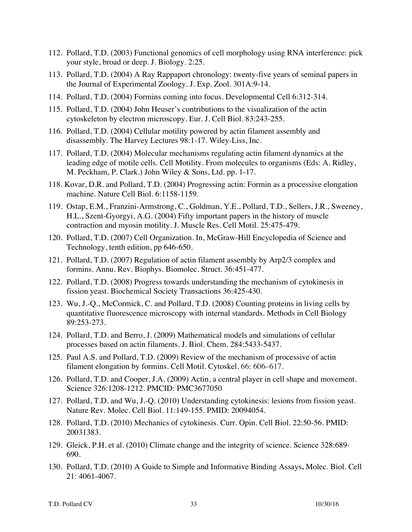- 112. Pollard, T.D. (2003) Functional genomics of cell morphology using RNA interference: pick your style, broad or deep. J. Biology. 2:25.
- 113. Pollard, T.D. (2004) A Ray Rappaport chronology: twenty-five years of seminal papers in the Journal of Experimental Zoology. J. Exp. Zool. 301A:9-14.
- 114. Pollard, T.D. (2004) Formins coming into focus. Developmental Cell 6:312-314.
- 115. Pollard, T.D. (2004) John Heuser's contributions to the visualization of the actin cytoskeleton by electron microscopy. Eur. J. Cell Biol. 83:243-255.
- 116. Pollard, T.D. (2004) Cellular motility powered by actin filament assembly and disassembly. The Harvey Lectures 98:1-17. Wiley-Liss, Inc.
- 117. Pollard, T.D. (2004) Molecular mechanisms regulating actin filament dynamics at the leading edge of motile cells. Cell Motility. From molecules to organisms (Eds: A. Ridley, M. Peckham, P. Clark.) John Wiley & Sons, Ltd. pp. 1-17.
- 118. Kovar, D.R. and Pollard, T.D. (2004) Progressing actin: Formin as a processive elongation machine. Nature Cell Biol. 6:1158-1159.
- 119. Ostap, E.M., Franzini-Armstrong, C., Goldman, Y.E., Pollard, T.D., Sellers, J.R., Sweeney, H.L., Szent-Gyorgyi, A.G. (2004) Fifty important papers in the history of muscle contraction and myosin motility. J. Muscle Res. Cell Motil. 25:475-479.
- 120. Pollard, T.D. (2007) Cell Organization. In, McGraw-Hill Encyclopedia of Science and Technology, tenth edition, pp 646-650.
- 121. Pollard, T.D. (2007) Regulation of actin filament assembly by Arp2/3 complex and formins. Annu. Rev. Biophys. Biomolec. Struct. 36:451-477.
- 122. Pollard, T.D. (2008) Progress towards understanding the mechanism of cytokinesis in fission yeast. Biochemical Society Transactions 36:425-430.
- 123. Wu, J.-Q., McCormick, C. and Pollard, T.D. (2008) Counting proteins in living cells by quantitative fluorescence microscopy with internal standards. Methods in Cell Biology 89:253-273.
- 124. Pollard, T.D. and Berro, J. (2009) Mathematical models and simulations of cellular processes based on actin filaments. J. Biol. Chem. 284:5433-5437.
- 125. Paul A.S. and Pollard, T.D. (2009) Review of the mechanism of processive of actin filament elongation by formins. Cell Motil. Cytoskel. 66: 606–617.
- 126. Pollard, T.D. and Cooper, J.A. (2009) Actin, a central player in cell shape and movement. Science 326:1208-1212. PMCID: PMC3677050
- 127. Pollard, T.D. and Wu, J.-Q. (2010) Understanding cytokinesis: lesions from fission yeast. Nature Rev. Molec. Cell Biol. 11:149-155. PMID: 20094054.
- 128. Pollard, T.D. (2010) Mechanics of cytokinesis. Curr. Opin. Cell Biol. 22:50-56. PMID: 20031383.
- 129. Gleick, P.H. et al. (2010) Climate change and the integrity of science. Science 328:689- 690.
- 130. Pollard, T.D. (2010) A Guide to Simple and Informative Binding Assays**.** Molec. Biol. Cell 21: 4061-4067.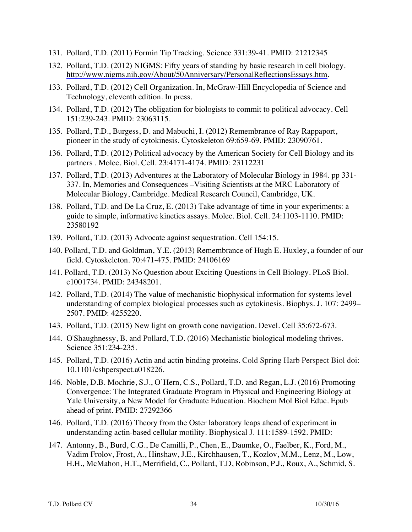- 131. Pollard, T.D. (2011) Formin Tip Tracking. Science 331:39-41. PMID: 21212345
- 132. Pollard, T.D. (2012) NIGMS: Fifty years of standing by basic research in cell biology. http://www.nigms.nih.gov/About/50Anniversary/PersonalReflectionsEssays.htm.
- 133. Pollard, T.D. (2012) Cell Organization. In, McGraw-Hill Encyclopedia of Science and Technology, eleventh edition. In press.
- 134. Pollard, T.D. (2012) The obligation for biologists to commit to political advocacy. Cell 151:239-243. PMID: 23063115.
- 135. Pollard, T.D., Burgess, D. and Mabuchi, I. (2012) Remembrance of Ray Rappaport, pioneer in the study of cytokinesis. Cytoskeleton 69:659-69. PMID: 23090761.
- 136. Pollard, T.D. (2012) Political advocacy by the American Society for Cell Biology and its partners . Molec. Biol. Cell. 23:4171-4174. PMID: 23112231
- 137. Pollard, T.D. (2013) Adventures at the Laboratory of Molecular Biology in 1984. pp 331- 337. In, Memories and Consequences –Visiting Scientists at the MRC Laboratory of Molecular Biology, Cambridge. Medical Research Council, Cambridge, UK.
- 138. Pollard, T.D. and De La Cruz, E. (2013) Take advantage of time in your experiments: a guide to simple, informative kinetics assays. Molec. Biol. Cell. 24:1103-1110. PMID: 23580192
- 139. Pollard, T.D. (2013) Advocate against sequestration. Cell 154:15.
- 140. Pollard, T.D. and Goldman, Y.E. (2013) Remembrance of Hugh E. Huxley, a founder of our field. Cytoskeleton. 70:471-475. PMID: 24106169
- 141. Pollard, T.D. (2013) No Question about Exciting Questions in Cell Biology. PLoS Biol. e1001734. PMID: 24348201.
- 142. Pollard, T.D. (2014) The value of mechanistic biophysical information for systems level understanding of complex biological processes such as cytokinesis. Biophys. J. 107: 2499– 2507. PMID: 4255220.
- 143. Pollard, T.D. (2015) New light on growth cone navigation. Devel. Cell 35:672-673.
- 144. O'Shaughnessy, B. and Pollard, T.D. (2016) Mechanistic biological modeling thrives. Science 351:234-235.
- 145. Pollard, T.D. (2016) Actin and actin binding proteins. Cold Spring Harb Perspect Biol doi: 10.1101/cshperspect.a018226.
- 146. Noble, D.B. Mochrie, S.J., O'Hern, C.S., Pollard, T.D. and Regan, L.J. (2016) Promoting Convergence: The Integrated Graduate Program in Physical and Engineering Biology at Yale University, a New Model for Graduate Education. Biochem Mol Biol Educ. Epub ahead of print. PMID: 27292366
- 146. Pollard, T.D. (2016) Theory from the Oster laboratory leaps ahead of experiment in understanding actin-based cellular motility. Biophysical J. 111:1589-1592. PMID:
- 147. Antonny, B., Burd, C.G., De Camilli, P., Chen, E., Daumke, O., Faelber, K., Ford, M., Vadim Frolov, Frost, A., Hinshaw, J.E., Kirchhausen, T., Kozlov, M.M., Lenz, M., Low, H.H., McMahon, H.T., Merrifield, C., Pollard, T.D, Robinson, P.J., Roux, A., Schmid, S.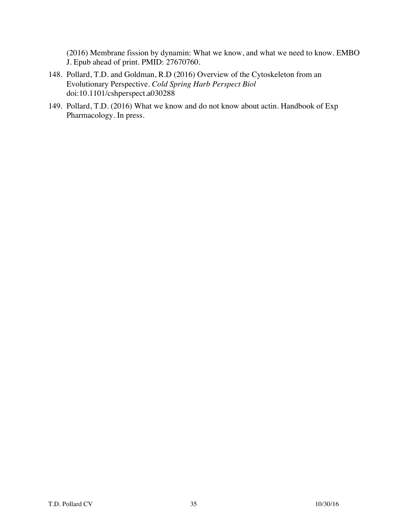(2016) Membrane fission by dynamin: What we know, and what we need to know. EMBO J. Epub ahead of print. PMID: 27670760.

- 148. Pollard, T.D. and Goldman, R.D (2016) Overview of the Cytoskeleton from an Evolutionary Perspective. *Cold Spring Harb Perspect Biol*  doi:10.1101/cshperspect.a030288
- 149. Pollard, T.D. (2016) What we know and do not know about actin. Handbook of Exp Pharmacology. In press.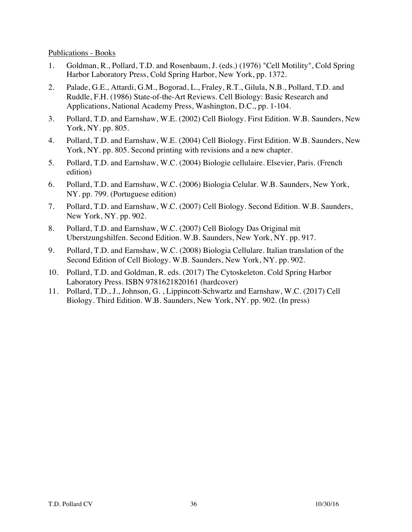Publications - Books

- 1. Goldman, R., Pollard, T.D. and Rosenbaum, J. (eds.) (1976) "Cell Motility", Cold Spring Harbor Laboratory Press, Cold Spring Harbor, New York, pp. 1372.
- 2. Palade, G.E., Attardi, G.M., Bogorad, L., Fraley, R.T., Gilula, N.B., Pollard, T.D. and Ruddle, F.H. (1986) State-of-the-Art Reviews. Cell Biology: Basic Research and Applications, National Academy Press, Washington, D.C., pp. 1-104.
- 3. Pollard, T.D. and Earnshaw, W.E. (2002) Cell Biology. First Edition. W.B. Saunders, New York, NY. pp. 805.
- 4. Pollard, T.D. and Earnshaw, W.E. (2004) Cell Biology. First Edition. W.B. Saunders, New York, NY. pp. 805. Second printing with revisions and a new chapter.
- 5. Pollard, T.D. and Earnshaw, W.C. (2004) Biologie cellulaire. Elsevier, Paris. (French edition)
- 6. Pollard, T.D. and Earnshaw, W.C. (2006) Biologia Celular. W.B. Saunders, New York, NY. pp. 799. (Portuguese edition)
- 7. Pollard, T.D. and Earnshaw, W.C. (2007) Cell Biology. Second Edition. W.B. Saunders, New York, NY. pp. 902.
- 8. Pollard, T.D. and Earnshaw, W.C. (2007) Cell Biology Das Original mit Uberstzungshilfen. Second Edition. W.B. Saunders, New York, NY. pp. 917.
- 9. Pollard, T.D. and Earnshaw, W.C. (2008) Biologia Cellulare. Italian translation of the Second Edition of Cell Biology. W.B. Saunders, New York, NY. pp. 902.
- 10. Pollard, T.D. and Goldman, R. eds. (2017) The Cytoskeleton. Cold Spring Harbor Laboratory Press. ISBN 9781621820161 (hardcover)
- 11. Pollard, T.D., J., Johnson, G. , Lippincott-Schwartz and Earnshaw, W.C. (2017) Cell Biology. Third Edition. W.B. Saunders, New York, NY. pp. 902. (In press)